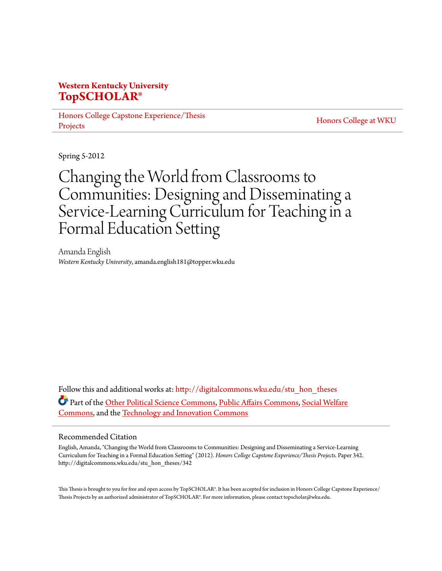# **Western Kentucky University [TopSCHOLAR®](http://digitalcommons.wku.edu?utm_source=digitalcommons.wku.edu%2Fstu_hon_theses%2F342&utm_medium=PDF&utm_campaign=PDFCoverPages)**

[Honors College Capstone Experience/Thesis](http://digitalcommons.wku.edu/stu_hon_theses?utm_source=digitalcommons.wku.edu%2Fstu_hon_theses%2F342&utm_medium=PDF&utm_campaign=PDFCoverPages) [Projects](http://digitalcommons.wku.edu/stu_hon_theses?utm_source=digitalcommons.wku.edu%2Fstu_hon_theses%2F342&utm_medium=PDF&utm_campaign=PDFCoverPages)

[Honors College at WKU](http://digitalcommons.wku.edu/honors_prog?utm_source=digitalcommons.wku.edu%2Fstu_hon_theses%2F342&utm_medium=PDF&utm_campaign=PDFCoverPages)

Spring 5-2012

# Changing the World from Classrooms to Communities: Designing and Disseminating a Service-Learning Curriculum for Teaching in a Formal Education Setting

Amanda English *Western Kentucky University*, amanda.english181@topper.wku.edu

Follow this and additional works at: [http://digitalcommons.wku.edu/stu\\_hon\\_theses](http://digitalcommons.wku.edu/stu_hon_theses?utm_source=digitalcommons.wku.edu%2Fstu_hon_theses%2F342&utm_medium=PDF&utm_campaign=PDFCoverPages) Part of the [Other Political Science Commons,](http://network.bepress.com/hgg/discipline/392?utm_source=digitalcommons.wku.edu%2Fstu_hon_theses%2F342&utm_medium=PDF&utm_campaign=PDFCoverPages) [Public Affairs Commons,](http://network.bepress.com/hgg/discipline/399?utm_source=digitalcommons.wku.edu%2Fstu_hon_theses%2F342&utm_medium=PDF&utm_campaign=PDFCoverPages) [Social Welfare](http://network.bepress.com/hgg/discipline/401?utm_source=digitalcommons.wku.edu%2Fstu_hon_theses%2F342&utm_medium=PDF&utm_campaign=PDFCoverPages) [Commons,](http://network.bepress.com/hgg/discipline/401?utm_source=digitalcommons.wku.edu%2Fstu_hon_theses%2F342&utm_medium=PDF&utm_campaign=PDFCoverPages) and the [Technology and Innovation Commons](http://network.bepress.com/hgg/discipline/644?utm_source=digitalcommons.wku.edu%2Fstu_hon_theses%2F342&utm_medium=PDF&utm_campaign=PDFCoverPages)

#### Recommended Citation

English, Amanda, "Changing the World from Classrooms to Communities: Designing and Disseminating a Service-Learning Curriculum for Teaching in a Formal Education Setting" (2012). *Honors College Capstone Experience/Thesis Projects.* Paper 342. http://digitalcommons.wku.edu/stu\_hon\_theses/342

This Thesis is brought to you for free and open access by TopSCHOLAR®. It has been accepted for inclusion in Honors College Capstone Experience/ Thesis Projects by an authorized administrator of TopSCHOLAR®. For more information, please contact topscholar@wku.edu.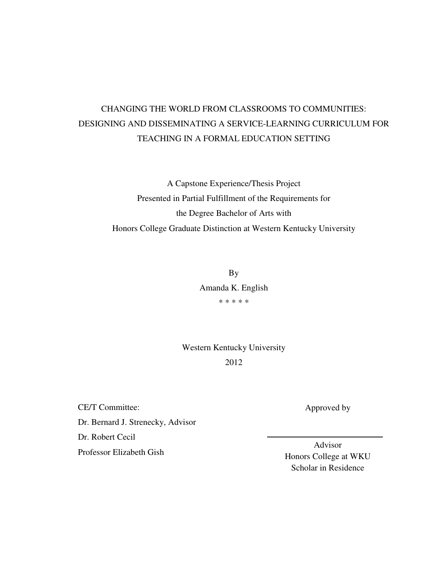# CHANGING THE WORLD FROM CLASSROOMS TO COMMUNITIES: DESIGNING AND DISSEMINATING A SERVICE-LEARNING CURRICULUM FOR TEACHING IN A FORMAL EDUCATION SETTING

A Capstone Experience/Thesis Project Presented in Partial Fulfillment of the Requirements for the Degree Bachelor of Arts with Honors College Graduate Distinction at Western Kentucky University

> By Amanda K. English \* \* \* \* \*

Western Kentucky University 2012

CE/T Committee: Dr. Bernard J. Strenecky, Advisor Dr. Robert Cecil Professor Elizabeth Gish

Approved by

Advisor Honors College at WKU Scholar in Residence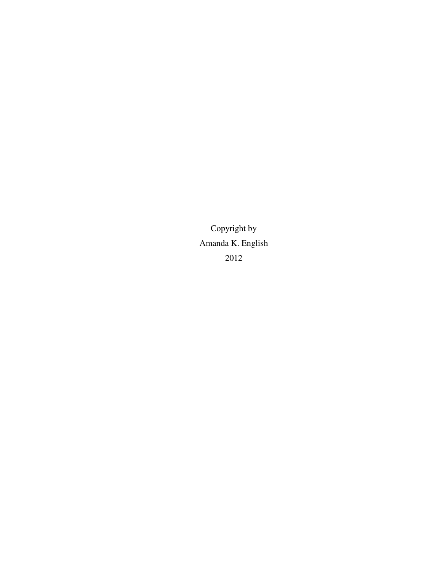Copyright by Amanda K. English 2012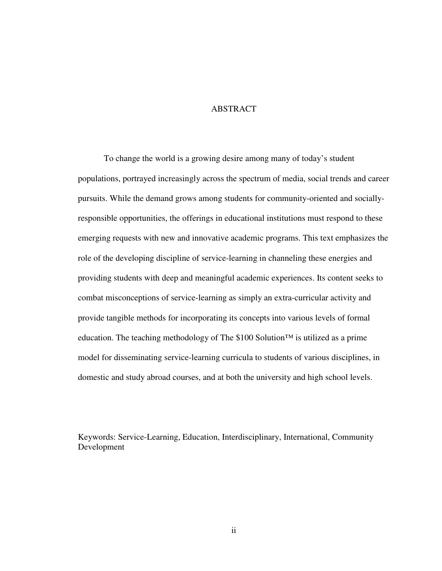# ABSTRACT

To change the world is a growing desire among many of today's student populations, portrayed increasingly across the spectrum of media, social trends and career pursuits. While the demand grows among students for community-oriented and sociallyresponsible opportunities, the offerings in educational institutions must respond to these emerging requests with new and innovative academic programs. This text emphasizes the role of the developing discipline of service-learning in channeling these energies and providing students with deep and meaningful academic experiences. Its content seeks to combat misconceptions of service-learning as simply an extra-curricular activity and provide tangible methods for incorporating its concepts into various levels of formal education. The teaching methodology of The \$100 Solution<sup>™</sup> is utilized as a prime model for disseminating service-learning curricula to students of various disciplines, in domestic and study abroad courses, and at both the university and high school levels.

Keywords: Service-Learning, Education, Interdisciplinary, International, Community Development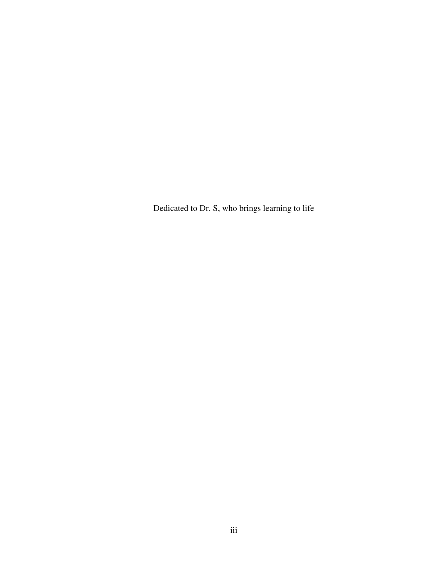Dedicated to Dr. S, who brings learning to life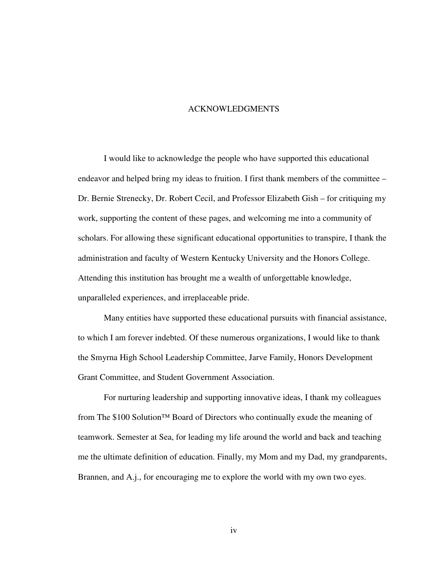#### ACKNOWLEDGMENTS

I would like to acknowledge the people who have supported this educational endeavor and helped bring my ideas to fruition. I first thank members of the committee – Dr. Bernie Strenecky, Dr. Robert Cecil, and Professor Elizabeth Gish – for critiquing my work, supporting the content of these pages, and welcoming me into a community of scholars. For allowing these significant educational opportunities to transpire, I thank the administration and faculty of Western Kentucky University and the Honors College. Attending this institution has brought me a wealth of unforgettable knowledge, unparalleled experiences, and irreplaceable pride.

Many entities have supported these educational pursuits with financial assistance, to which I am forever indebted. Of these numerous organizations, I would like to thank the Smyrna High School Leadership Committee, Jarve Family, Honors Development Grant Committee, and Student Government Association.

For nurturing leadership and supporting innovative ideas, I thank my colleagues from The \$100 Solution™ Board of Directors who continually exude the meaning of teamwork. Semester at Sea, for leading my life around the world and back and teaching me the ultimate definition of education. Finally, my Mom and my Dad, my grandparents, Brannen, and A.j., for encouraging me to explore the world with my own two eyes.

iv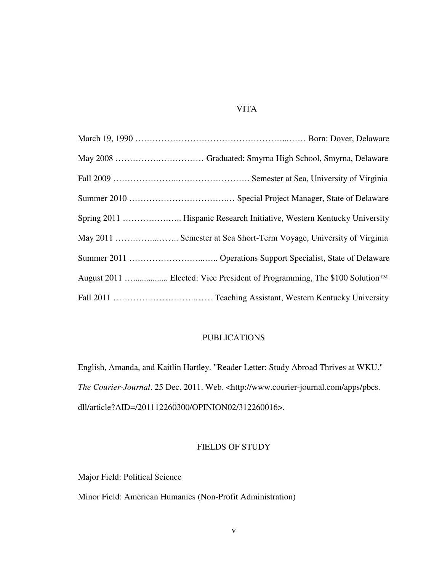# VITA

| August 2011  Elected: Vice President of Programming, The \$100 Solution <sup>™</sup> |
|--------------------------------------------------------------------------------------|
|                                                                                      |

# PUBLICATIONS

English, Amanda, and Kaitlin Hartley. "Reader Letter: Study Abroad Thrives at WKU." *The Courier-Journal*. 25 Dec. 2011. Web. <http://www.courier-journal.com/apps/pbcs. dll/article?AID=/201112260300/OPINION02/312260016>.

# FIELDS OF STUDY

Major Field: Political Science

Minor Field: American Humanics (Non-Profit Administration)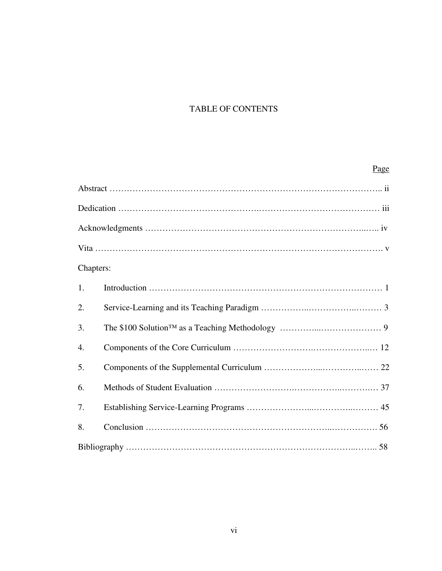# TABLE OF CONTENTS

#### **Page**

| Chapters:        |  |
|------------------|--|
| 1.               |  |
| 2.               |  |
| 3.               |  |
| $\overline{4}$ . |  |
| 5.               |  |
| 6.               |  |
| 7.               |  |
| 8.               |  |
|                  |  |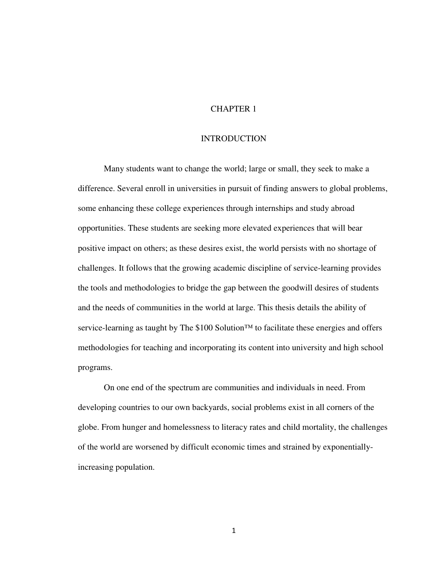# CHAPTER 1

## **INTRODUCTION**

Many students want to change the world; large or small, they seek to make a difference. Several enroll in universities in pursuit of finding answers to global problems, some enhancing these college experiences through internships and study abroad opportunities. These students are seeking more elevated experiences that will bear positive impact on others; as these desires exist, the world persists with no shortage of challenges. It follows that the growing academic discipline of service-learning provides the tools and methodologies to bridge the gap between the goodwill desires of students and the needs of communities in the world at large. This thesis details the ability of service-learning as taught by The \$100 Solution™ to facilitate these energies and offers methodologies for teaching and incorporating its content into university and high school programs.

On one end of the spectrum are communities and individuals in need. From developing countries to our own backyards, social problems exist in all corners of the globe. From hunger and homelessness to literacy rates and child mortality, the challenges of the world are worsened by difficult economic times and strained by exponentiallyincreasing population.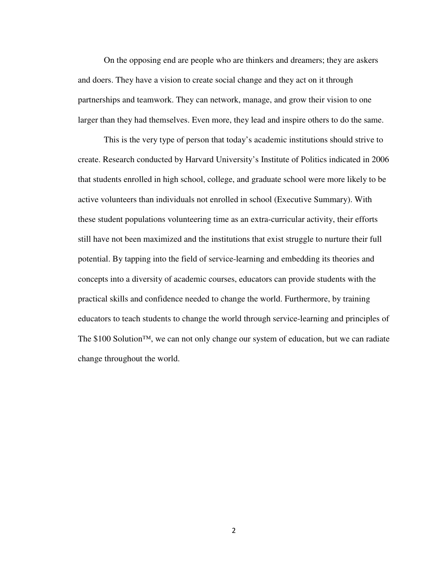On the opposing end are people who are thinkers and dreamers; they are askers and doers. They have a vision to create social change and they act on it through partnerships and teamwork. They can network, manage, and grow their vision to one larger than they had themselves. Even more, they lead and inspire others to do the same.

This is the very type of person that today's academic institutions should strive to create. Research conducted by Harvard University's Institute of Politics indicated in 2006 that students enrolled in high school, college, and graduate school were more likely to be active volunteers than individuals not enrolled in school (Executive Summary). With these student populations volunteering time as an extra-curricular activity, their efforts still have not been maximized and the institutions that exist struggle to nurture their full potential. By tapping into the field of service-learning and embedding its theories and concepts into a diversity of academic courses, educators can provide students with the practical skills and confidence needed to change the world. Furthermore, by training educators to teach students to change the world through service-learning and principles of The \$100 Solution™, we can not only change our system of education, but we can radiate change throughout the world.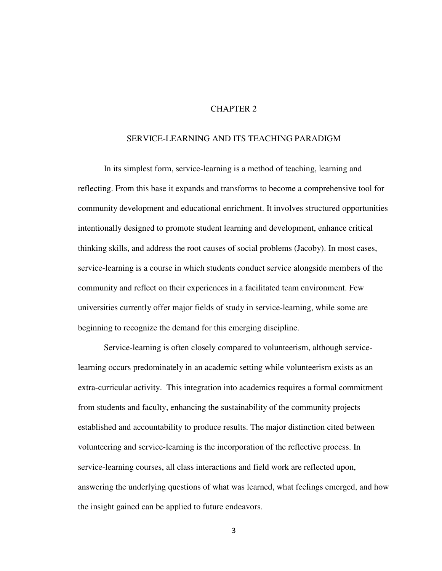# CHAPTER 2

#### SERVICE-LEARNING AND ITS TEACHING PARADIGM

In its simplest form, service-learning is a method of teaching, learning and reflecting. From this base it expands and transforms to become a comprehensive tool for community development and educational enrichment. It involves structured opportunities intentionally designed to promote student learning and development, enhance critical thinking skills, and address the root causes of social problems (Jacoby). In most cases, service-learning is a course in which students conduct service alongside members of the community and reflect on their experiences in a facilitated team environment. Few universities currently offer major fields of study in service-learning, while some are beginning to recognize the demand for this emerging discipline.

Service-learning is often closely compared to volunteerism, although servicelearning occurs predominately in an academic setting while volunteerism exists as an extra-curricular activity. This integration into academics requires a formal commitment from students and faculty, enhancing the sustainability of the community projects established and accountability to produce results. The major distinction cited between volunteering and service-learning is the incorporation of the reflective process. In service-learning courses, all class interactions and field work are reflected upon, answering the underlying questions of what was learned, what feelings emerged, and how the insight gained can be applied to future endeavors.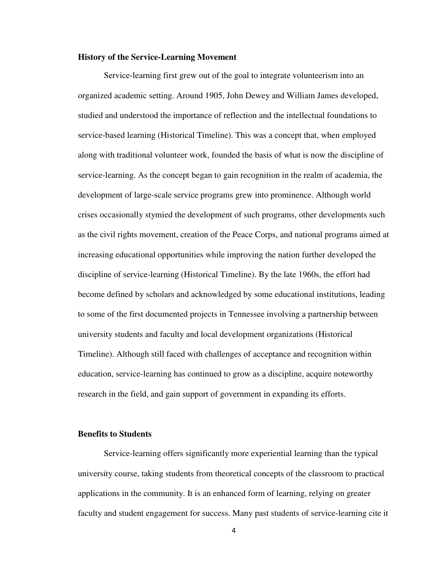#### **History of the Service-Learning Movement**

Service-learning first grew out of the goal to integrate volunteerism into an organized academic setting. Around 1905, John Dewey and William James developed, studied and understood the importance of reflection and the intellectual foundations to service-based learning (Historical Timeline). This was a concept that, when employed along with traditional volunteer work, founded the basis of what is now the discipline of service-learning. As the concept began to gain recognition in the realm of academia, the development of large-scale service programs grew into prominence. Although world crises occasionally stymied the development of such programs, other developments such as the civil rights movement, creation of the Peace Corps, and national programs aimed at increasing educational opportunities while improving the nation further developed the discipline of service-learning (Historical Timeline). By the late 1960s, the effort had become defined by scholars and acknowledged by some educational institutions, leading to some of the first documented projects in Tennessee involving a partnership between university students and faculty and local development organizations (Historical Timeline). Although still faced with challenges of acceptance and recognition within education, service-learning has continued to grow as a discipline, acquire noteworthy research in the field, and gain support of government in expanding its efforts.

#### **Benefits to Students**

Service-learning offers significantly more experiential learning than the typical university course, taking students from theoretical concepts of the classroom to practical applications in the community. It is an enhanced form of learning, relying on greater faculty and student engagement for success. Many past students of service-learning cite it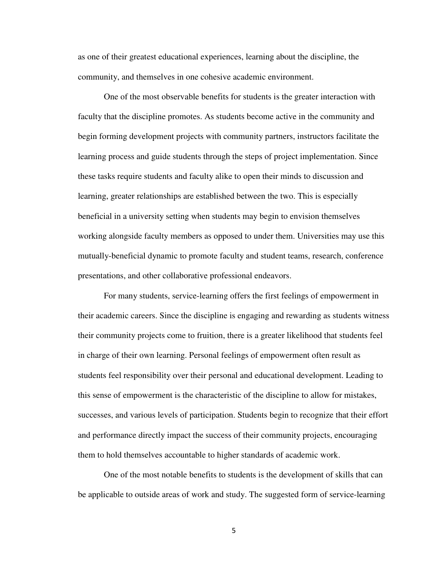as one of their greatest educational experiences, learning about the discipline, the community, and themselves in one cohesive academic environment.

One of the most observable benefits for students is the greater interaction with faculty that the discipline promotes. As students become active in the community and begin forming development projects with community partners, instructors facilitate the learning process and guide students through the steps of project implementation. Since these tasks require students and faculty alike to open their minds to discussion and learning, greater relationships are established between the two. This is especially beneficial in a university setting when students may begin to envision themselves working alongside faculty members as opposed to under them. Universities may use this mutually-beneficial dynamic to promote faculty and student teams, research, conference presentations, and other collaborative professional endeavors.

For many students, service-learning offers the first feelings of empowerment in their academic careers. Since the discipline is engaging and rewarding as students witness their community projects come to fruition, there is a greater likelihood that students feel in charge of their own learning. Personal feelings of empowerment often result as students feel responsibility over their personal and educational development. Leading to this sense of empowerment is the characteristic of the discipline to allow for mistakes, successes, and various levels of participation. Students begin to recognize that their effort and performance directly impact the success of their community projects, encouraging them to hold themselves accountable to higher standards of academic work.

One of the most notable benefits to students is the development of skills that can be applicable to outside areas of work and study. The suggested form of service-learning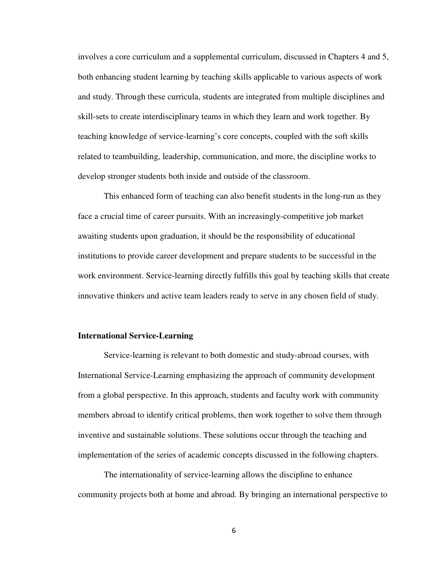involves a core curriculum and a supplemental curriculum, discussed in Chapters 4 and 5, both enhancing student learning by teaching skills applicable to various aspects of work and study. Through these curricula, students are integrated from multiple disciplines and skill-sets to create interdisciplinary teams in which they learn and work together. By teaching knowledge of service-learning's core concepts, coupled with the soft skills related to teambuilding, leadership, communication, and more, the discipline works to develop stronger students both inside and outside of the classroom.

This enhanced form of teaching can also benefit students in the long-run as they face a crucial time of career pursuits. With an increasingly-competitive job market awaiting students upon graduation, it should be the responsibility of educational institutions to provide career development and prepare students to be successful in the work environment. Service-learning directly fulfills this goal by teaching skills that create innovative thinkers and active team leaders ready to serve in any chosen field of study.

#### **International Service-Learning**

Service-learning is relevant to both domestic and study-abroad courses, with International Service-Learning emphasizing the approach of community development from a global perspective. In this approach, students and faculty work with community members abroad to identify critical problems, then work together to solve them through inventive and sustainable solutions. These solutions occur through the teaching and implementation of the series of academic concepts discussed in the following chapters.

The internationality of service-learning allows the discipline to enhance community projects both at home and abroad. By bringing an international perspective to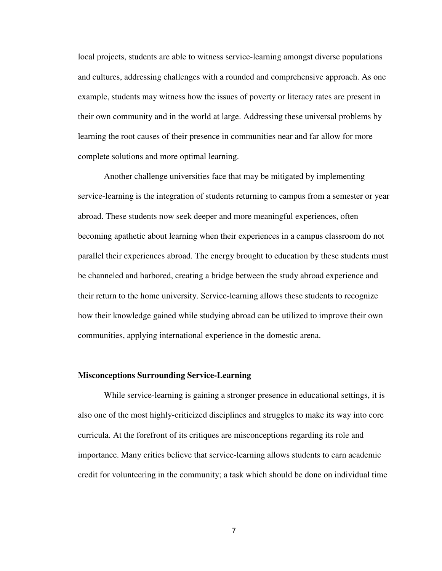local projects, students are able to witness service-learning amongst diverse populations and cultures, addressing challenges with a rounded and comprehensive approach. As one example, students may witness how the issues of poverty or literacy rates are present in their own community and in the world at large. Addressing these universal problems by learning the root causes of their presence in communities near and far allow for more complete solutions and more optimal learning.

Another challenge universities face that may be mitigated by implementing service-learning is the integration of students returning to campus from a semester or year abroad. These students now seek deeper and more meaningful experiences, often becoming apathetic about learning when their experiences in a campus classroom do not parallel their experiences abroad. The energy brought to education by these students must be channeled and harbored, creating a bridge between the study abroad experience and their return to the home university. Service-learning allows these students to recognize how their knowledge gained while studying abroad can be utilized to improve their own communities, applying international experience in the domestic arena.

### **Misconceptions Surrounding Service-Learning**

While service-learning is gaining a stronger presence in educational settings, it is also one of the most highly-criticized disciplines and struggles to make its way into core curricula. At the forefront of its critiques are misconceptions regarding its role and importance. Many critics believe that service-learning allows students to earn academic credit for volunteering in the community; a task which should be done on individual time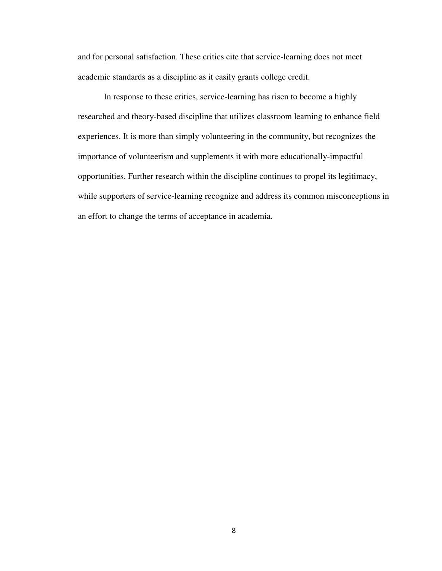and for personal satisfaction. These critics cite that service-learning does not meet academic standards as a discipline as it easily grants college credit.

 In response to these critics, service-learning has risen to become a highly researched and theory-based discipline that utilizes classroom learning to enhance field experiences. It is more than simply volunteering in the community, but recognizes the importance of volunteerism and supplements it with more educationally-impactful opportunities. Further research within the discipline continues to propel its legitimacy, while supporters of service-learning recognize and address its common misconceptions in an effort to change the terms of acceptance in academia.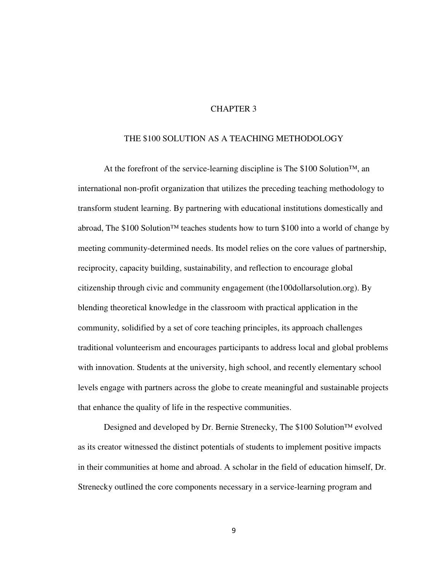# CHAPTER 3

#### THE \$100 SOLUTION AS A TEACHING METHODOLOGY

At the forefront of the service-learning discipline is The \$100 Solution™, an international non-profit organization that utilizes the preceding teaching methodology to transform student learning. By partnering with educational institutions domestically and abroad, The \$100 Solution<sup>™</sup> teaches students how to turn \$100 into a world of change by meeting community-determined needs. Its model relies on the core values of partnership, reciprocity, capacity building, sustainability, and reflection to encourage global citizenship through civic and community engagement (the100dollarsolution.org). By blending theoretical knowledge in the classroom with practical application in the community, solidified by a set of core teaching principles, its approach challenges traditional volunteerism and encourages participants to address local and global problems with innovation. Students at the university, high school, and recently elementary school levels engage with partners across the globe to create meaningful and sustainable projects that enhance the quality of life in the respective communities.

Designed and developed by Dr. Bernie Strenecky, The \$100 Solution™ evolved as its creator witnessed the distinct potentials of students to implement positive impacts in their communities at home and abroad. A scholar in the field of education himself, Dr. Strenecky outlined the core components necessary in a service-learning program and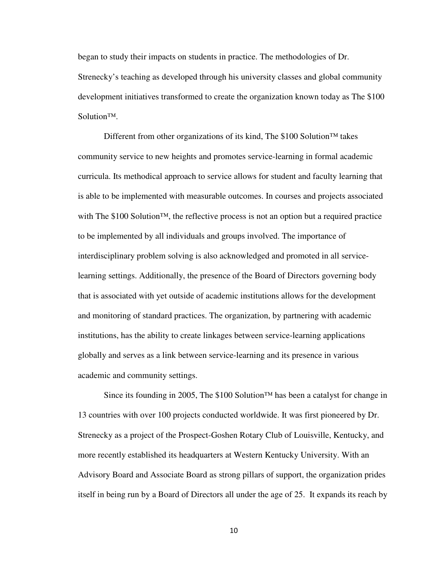began to study their impacts on students in practice. The methodologies of Dr. Strenecky's teaching as developed through his university classes and global community development initiatives transformed to create the organization known today as The \$100 Solution™.

Different from other organizations of its kind, The \$100 Solution™ takes community service to new heights and promotes service-learning in formal academic curricula. Its methodical approach to service allows for student and faculty learning that is able to be implemented with measurable outcomes. In courses and projects associated with The \$100 Solution<sup>™</sup>, the reflective process is not an option but a required practice to be implemented by all individuals and groups involved. The importance of interdisciplinary problem solving is also acknowledged and promoted in all servicelearning settings. Additionally, the presence of the Board of Directors governing body that is associated with yet outside of academic institutions allows for the development and monitoring of standard practices. The organization, by partnering with academic institutions, has the ability to create linkages between service-learning applications globally and serves as a link between service-learning and its presence in various academic and community settings.

Since its founding in 2005, The \$100 Solution™ has been a catalyst for change in 13 countries with over 100 projects conducted worldwide. It was first pioneered by Dr. Strenecky as a project of the Prospect-Goshen Rotary Club of Louisville, Kentucky, and more recently established its headquarters at Western Kentucky University. With an Advisory Board and Associate Board as strong pillars of support, the organization prides itself in being run by a Board of Directors all under the age of 25. It expands its reach by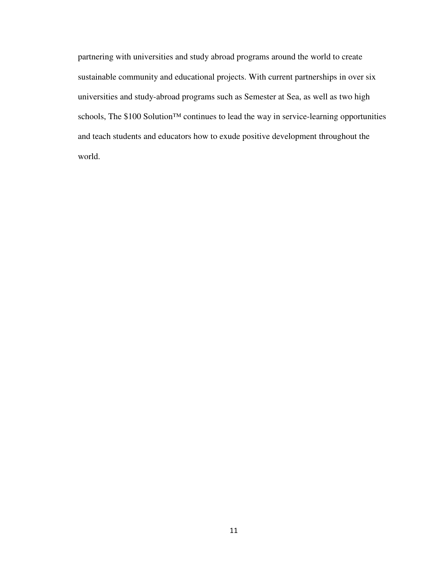partnering with universities and study abroad programs around the world to create sustainable community and educational projects. With current partnerships in over six universities and study-abroad programs such as Semester at Sea, as well as two high schools, The \$100 Solution™ continues to lead the way in service-learning opportunities and teach students and educators how to exude positive development throughout the world.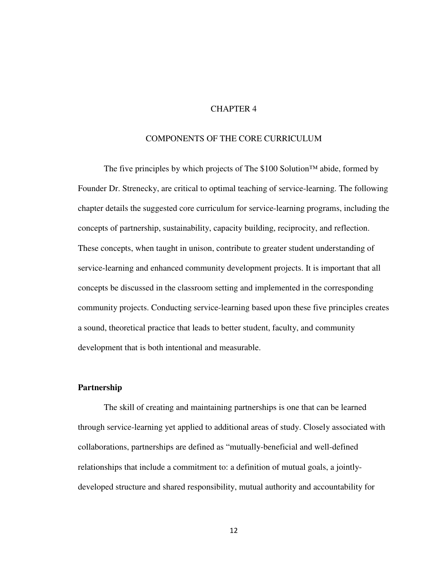# CHAPTER 4

#### COMPONENTS OF THE CORE CURRICULUM

The five principles by which projects of The \$100 Solution™ abide, formed by Founder Dr. Strenecky, are critical to optimal teaching of service-learning. The following chapter details the suggested core curriculum for service-learning programs, including the concepts of partnership, sustainability, capacity building, reciprocity, and reflection. These concepts, when taught in unison, contribute to greater student understanding of service-learning and enhanced community development projects. It is important that all concepts be discussed in the classroom setting and implemented in the corresponding community projects. Conducting service-learning based upon these five principles creates a sound, theoretical practice that leads to better student, faculty, and community development that is both intentional and measurable.

#### **Partnership**

The skill of creating and maintaining partnerships is one that can be learned through service-learning yet applied to additional areas of study. Closely associated with collaborations, partnerships are defined as "mutually-beneficial and well-defined relationships that include a commitment to: a definition of mutual goals, a jointlydeveloped structure and shared responsibility, mutual authority and accountability for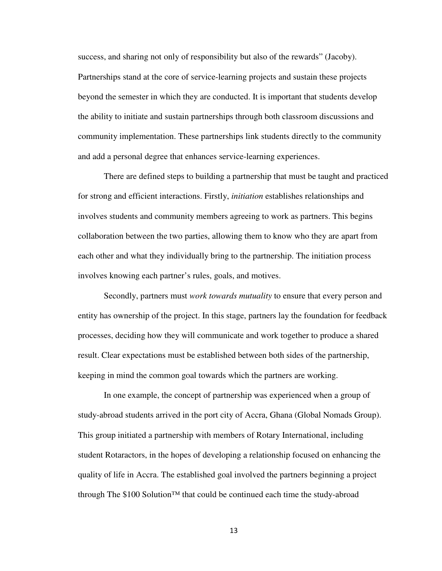success, and sharing not only of responsibility but also of the rewards" (Jacoby). Partnerships stand at the core of service-learning projects and sustain these projects beyond the semester in which they are conducted. It is important that students develop the ability to initiate and sustain partnerships through both classroom discussions and community implementation. These partnerships link students directly to the community and add a personal degree that enhances service-learning experiences.

There are defined steps to building a partnership that must be taught and practiced for strong and efficient interactions. Firstly, *initiation* establishes relationships and involves students and community members agreeing to work as partners. This begins collaboration between the two parties, allowing them to know who they are apart from each other and what they individually bring to the partnership. The initiation process involves knowing each partner's rules, goals, and motives.

Secondly, partners must *work towards mutuality* to ensure that every person and entity has ownership of the project. In this stage, partners lay the foundation for feedback processes, deciding how they will communicate and work together to produce a shared result. Clear expectations must be established between both sides of the partnership, keeping in mind the common goal towards which the partners are working.

In one example, the concept of partnership was experienced when a group of study-abroad students arrived in the port city of Accra, Ghana (Global Nomads Group). This group initiated a partnership with members of Rotary International, including student Rotaractors, in the hopes of developing a relationship focused on enhancing the quality of life in Accra. The established goal involved the partners beginning a project through The \$100 Solution™ that could be continued each time the study-abroad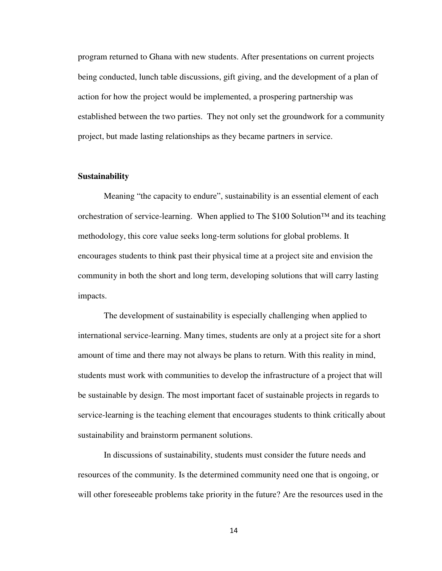program returned to Ghana with new students. After presentations on current projects being conducted, lunch table discussions, gift giving, and the development of a plan of action for how the project would be implemented, a prospering partnership was established between the two parties. They not only set the groundwork for a community project, but made lasting relationships as they became partners in service.

#### **Sustainability**

Meaning "the capacity to endure", sustainability is an essential element of each orchestration of service-learning. When applied to The \$100 Solution™ and its teaching methodology, this core value seeks long-term solutions for global problems. It encourages students to think past their physical time at a project site and envision the community in both the short and long term, developing solutions that will carry lasting impacts.

The development of sustainability is especially challenging when applied to international service-learning. Many times, students are only at a project site for a short amount of time and there may not always be plans to return. With this reality in mind, students must work with communities to develop the infrastructure of a project that will be sustainable by design. The most important facet of sustainable projects in regards to service-learning is the teaching element that encourages students to think critically about sustainability and brainstorm permanent solutions.

In discussions of sustainability, students must consider the future needs and resources of the community. Is the determined community need one that is ongoing, or will other foreseeable problems take priority in the future? Are the resources used in the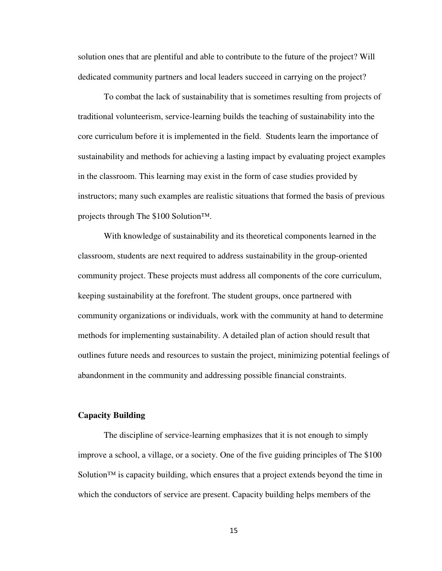solution ones that are plentiful and able to contribute to the future of the project? Will dedicated community partners and local leaders succeed in carrying on the project?

To combat the lack of sustainability that is sometimes resulting from projects of traditional volunteerism, service-learning builds the teaching of sustainability into the core curriculum before it is implemented in the field. Students learn the importance of sustainability and methods for achieving a lasting impact by evaluating project examples in the classroom. This learning may exist in the form of case studies provided by instructors; many such examples are realistic situations that formed the basis of previous projects through The \$100 Solution™.

With knowledge of sustainability and its theoretical components learned in the classroom, students are next required to address sustainability in the group-oriented community project. These projects must address all components of the core curriculum, keeping sustainability at the forefront. The student groups, once partnered with community organizations or individuals, work with the community at hand to determine methods for implementing sustainability. A detailed plan of action should result that outlines future needs and resources to sustain the project, minimizing potential feelings of abandonment in the community and addressing possible financial constraints.

#### **Capacity Building**

The discipline of service-learning emphasizes that it is not enough to simply improve a school, a village, or a society. One of the five guiding principles of The \$100 Solution<sup>™</sup> is capacity building, which ensures that a project extends beyond the time in which the conductors of service are present. Capacity building helps members of the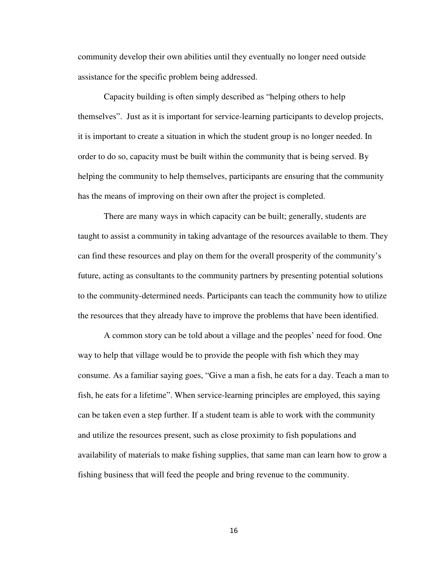community develop their own abilities until they eventually no longer need outside assistance for the specific problem being addressed.

Capacity building is often simply described as "helping others to help themselves". Just as it is important for service-learning participants to develop projects, it is important to create a situation in which the student group is no longer needed. In order to do so, capacity must be built within the community that is being served. By helping the community to help themselves, participants are ensuring that the community has the means of improving on their own after the project is completed.

There are many ways in which capacity can be built; generally, students are taught to assist a community in taking advantage of the resources available to them. They can find these resources and play on them for the overall prosperity of the community's future, acting as consultants to the community partners by presenting potential solutions to the community-determined needs. Participants can teach the community how to utilize the resources that they already have to improve the problems that have been identified.

A common story can be told about a village and the peoples' need for food. One way to help that village would be to provide the people with fish which they may consume. As a familiar saying goes, "Give a man a fish, he eats for a day. Teach a man to fish, he eats for a lifetime". When service-learning principles are employed, this saying can be taken even a step further. If a student team is able to work with the community and utilize the resources present, such as close proximity to fish populations and availability of materials to make fishing supplies, that same man can learn how to grow a fishing business that will feed the people and bring revenue to the community.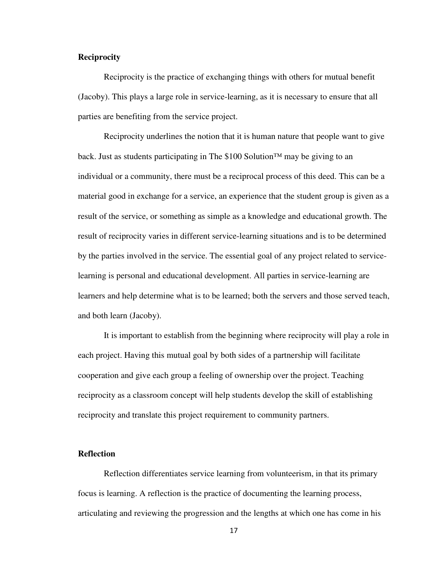### **Reciprocity**

Reciprocity is the practice of exchanging things with others for mutual benefit (Jacoby). This plays a large role in service-learning, as it is necessary to ensure that all parties are benefiting from the service project.

Reciprocity underlines the notion that it is human nature that people want to give back. Just as students participating in The \$100 Solution<sup>™</sup> may be giving to an individual or a community, there must be a reciprocal process of this deed. This can be a material good in exchange for a service, an experience that the student group is given as a result of the service, or something as simple as a knowledge and educational growth. The result of reciprocity varies in different service-learning situations and is to be determined by the parties involved in the service. The essential goal of any project related to servicelearning is personal and educational development. All parties in service-learning are learners and help determine what is to be learned; both the servers and those served teach, and both learn (Jacoby).

It is important to establish from the beginning where reciprocity will play a role in each project. Having this mutual goal by both sides of a partnership will facilitate cooperation and give each group a feeling of ownership over the project. Teaching reciprocity as a classroom concept will help students develop the skill of establishing reciprocity and translate this project requirement to community partners.

#### **Reflection**

Reflection differentiates service learning from volunteerism, in that its primary focus is learning. A reflection is the practice of documenting the learning process, articulating and reviewing the progression and the lengths at which one has come in his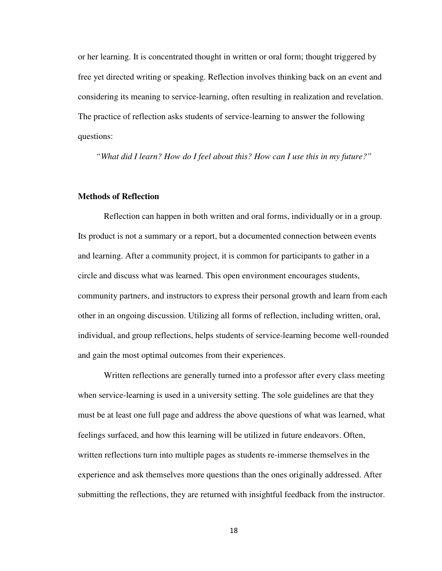or her learning. It is concentrated thought in written or oral form; thought triggered by free yet directed writing or speaking. Reflection involves thinking back on an event and considering its meaning to service-learning, often resulting in realization and revelation. The practice of reflection asks students of service-learning to answer the following questions:

*"What did I learn? How do I feel about this? How can I use this in my future?"* 

#### **Methods of Reflection**

Reflection can happen in both written and oral forms, individually or in a group. Its product is not a summary or a report, but a documented connection between events and learning. After a community project, it is common for participants to gather in a circle and discuss what was learned. This open environment encourages students, community partners, and instructors to express their personal growth and learn from each other in an ongoing discussion. Utilizing all forms of reflection, including written, oral, individual, and group reflections, helps students of service-learning become well-rounded and gain the most optimal outcomes from their experiences.

Written reflections are generally turned into a professor after every class meeting when service-learning is used in a university setting. The sole guidelines are that they must be at least one full page and address the above questions of what was learned, what feelings surfaced, and how this learning will be utilized in future endeavors. Often, written reflections turn into multiple pages as students re-immerse themselves in the experience and ask themselves more questions than the ones originally addressed. After submitting the reflections, they are returned with insightful feedback from the instructor.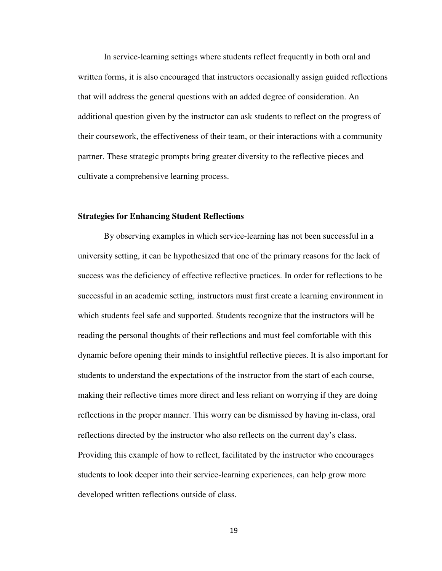In service-learning settings where students reflect frequently in both oral and written forms, it is also encouraged that instructors occasionally assign guided reflections that will address the general questions with an added degree of consideration. An additional question given by the instructor can ask students to reflect on the progress of their coursework, the effectiveness of their team, or their interactions with a community partner. These strategic prompts bring greater diversity to the reflective pieces and cultivate a comprehensive learning process.

#### **Strategies for Enhancing Student Reflections**

By observing examples in which service-learning has not been successful in a university setting, it can be hypothesized that one of the primary reasons for the lack of success was the deficiency of effective reflective practices. In order for reflections to be successful in an academic setting, instructors must first create a learning environment in which students feel safe and supported. Students recognize that the instructors will be reading the personal thoughts of their reflections and must feel comfortable with this dynamic before opening their minds to insightful reflective pieces. It is also important for students to understand the expectations of the instructor from the start of each course, making their reflective times more direct and less reliant on worrying if they are doing reflections in the proper manner. This worry can be dismissed by having in-class, oral reflections directed by the instructor who also reflects on the current day's class. Providing this example of how to reflect, facilitated by the instructor who encourages students to look deeper into their service-learning experiences, can help grow more developed written reflections outside of class.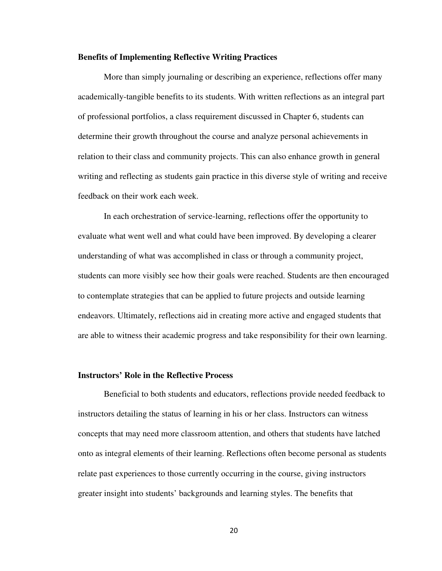#### **Benefits of Implementing Reflective Writing Practices**

More than simply journaling or describing an experience, reflections offer many academically-tangible benefits to its students. With written reflections as an integral part of professional portfolios, a class requirement discussed in Chapter 6, students can determine their growth throughout the course and analyze personal achievements in relation to their class and community projects. This can also enhance growth in general writing and reflecting as students gain practice in this diverse style of writing and receive feedback on their work each week.

In each orchestration of service-learning, reflections offer the opportunity to evaluate what went well and what could have been improved. By developing a clearer understanding of what was accomplished in class or through a community project, students can more visibly see how their goals were reached. Students are then encouraged to contemplate strategies that can be applied to future projects and outside learning endeavors. Ultimately, reflections aid in creating more active and engaged students that are able to witness their academic progress and take responsibility for their own learning.

#### **Instructors' Role in the Reflective Process**

Beneficial to both students and educators, reflections provide needed feedback to instructors detailing the status of learning in his or her class. Instructors can witness concepts that may need more classroom attention, and others that students have latched onto as integral elements of their learning. Reflections often become personal as students relate past experiences to those currently occurring in the course, giving instructors greater insight into students' backgrounds and learning styles. The benefits that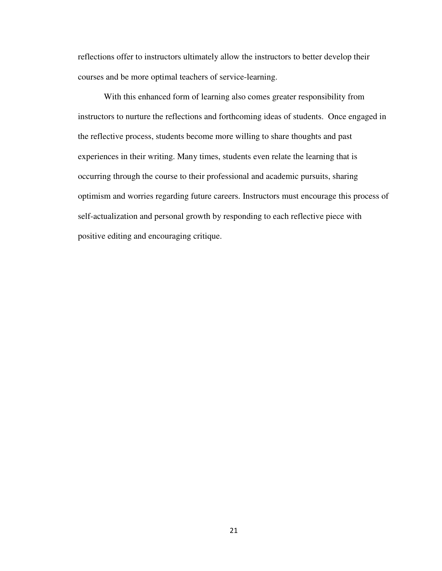reflections offer to instructors ultimately allow the instructors to better develop their courses and be more optimal teachers of service-learning.

With this enhanced form of learning also comes greater responsibility from instructors to nurture the reflections and forthcoming ideas of students. Once engaged in the reflective process, students become more willing to share thoughts and past experiences in their writing. Many times, students even relate the learning that is occurring through the course to their professional and academic pursuits, sharing optimism and worries regarding future careers. Instructors must encourage this process of self-actualization and personal growth by responding to each reflective piece with positive editing and encouraging critique.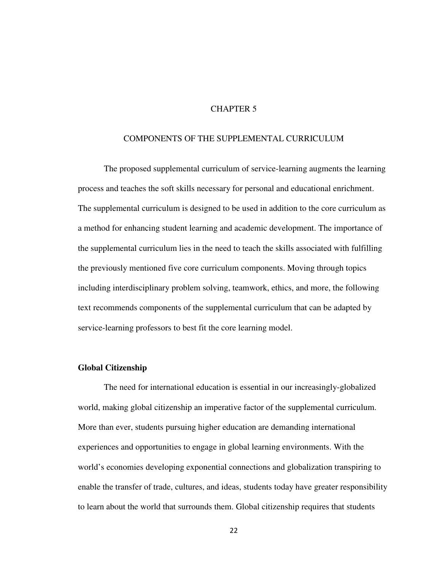# CHAPTER 5

#### COMPONENTS OF THE SUPPLEMENTAL CURRICULUM

The proposed supplemental curriculum of service-learning augments the learning process and teaches the soft skills necessary for personal and educational enrichment. The supplemental curriculum is designed to be used in addition to the core curriculum as a method for enhancing student learning and academic development. The importance of the supplemental curriculum lies in the need to teach the skills associated with fulfilling the previously mentioned five core curriculum components. Moving through topics including interdisciplinary problem solving, teamwork, ethics, and more, the following text recommends components of the supplemental curriculum that can be adapted by service-learning professors to best fit the core learning model.

#### **Global Citizenship**

The need for international education is essential in our increasingly-globalized world, making global citizenship an imperative factor of the supplemental curriculum. More than ever, students pursuing higher education are demanding international experiences and opportunities to engage in global learning environments. With the world's economies developing exponential connections and globalization transpiring to enable the transfer of trade, cultures, and ideas, students today have greater responsibility to learn about the world that surrounds them. Global citizenship requires that students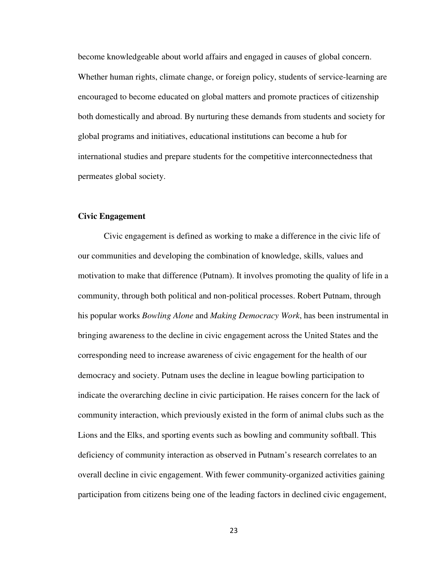become knowledgeable about world affairs and engaged in causes of global concern. Whether human rights, climate change, or foreign policy, students of service-learning are encouraged to become educated on global matters and promote practices of citizenship both domestically and abroad. By nurturing these demands from students and society for global programs and initiatives, educational institutions can become a hub for international studies and prepare students for the competitive interconnectedness that permeates global society.

#### **Civic Engagement**

Civic engagement is defined as working to make a difference in the civic life of our communities and developing the combination of knowledge, skills, values and motivation to make that difference (Putnam). It involves promoting the quality of life in a community, through both political and non-political processes. Robert Putnam, through his popular works *Bowling Alone* and *Making Democracy Work*, has been instrumental in bringing awareness to the decline in civic engagement across the United States and the corresponding need to increase awareness of civic engagement for the health of our democracy and society. Putnam uses the decline in league bowling participation to indicate the overarching decline in civic participation. He raises concern for the lack of community interaction, which previously existed in the form of animal clubs such as the Lions and the Elks, and sporting events such as bowling and community softball. This deficiency of community interaction as observed in Putnam's research correlates to an overall decline in civic engagement. With fewer community-organized activities gaining participation from citizens being one of the leading factors in declined civic engagement,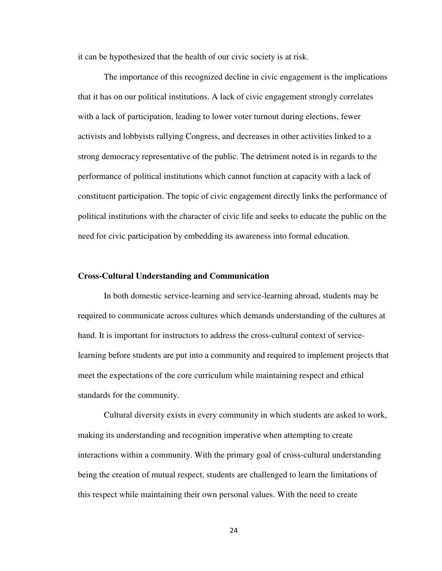it can be hypothesized that the health of our civic society is at risk.

The importance of this recognized decline in civic engagement is the implications that it has on our political institutions. A lack of civic engagement strongly correlates with a lack of participation, leading to lower voter turnout during elections, fewer activists and lobbyists rallying Congress, and decreases in other activities linked to a strong democracy representative of the public. The detriment noted is in regards to the performance of political institutions which cannot function at capacity with a lack of constituent participation. The topic of civic engagement directly links the performance of political institutions with the character of civic life and seeks to educate the public on the need for civic participation by embedding its awareness into formal education.

#### **Cross-Cultural Understanding and Communication**

In both domestic service-learning and service-learning abroad, students may be required to communicate across cultures which demands understanding of the cultures at hand. It is important for instructors to address the cross-cultural context of servicelearning before students are put into a community and required to implement projects that meet the expectations of the core curriculum while maintaining respect and ethical standards for the community.

Cultural diversity exists in every community in which students are asked to work, making its understanding and recognition imperative when attempting to create interactions within a community. With the primary goal of cross-cultural understanding being the creation of mutual respect, students are challenged to learn the limitations of this respect while maintaining their own personal values. With the need to create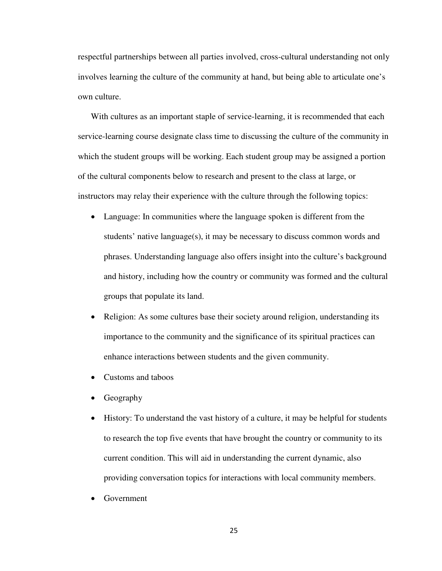respectful partnerships between all parties involved, cross-cultural understanding not only involves learning the culture of the community at hand, but being able to articulate one's own culture.

With cultures as an important staple of service-learning, it is recommended that each service-learning course designate class time to discussing the culture of the community in which the student groups will be working. Each student group may be assigned a portion of the cultural components below to research and present to the class at large, or instructors may relay their experience with the culture through the following topics:

- Language: In communities where the language spoken is different from the students' native language(s), it may be necessary to discuss common words and phrases. Understanding language also offers insight into the culture's background and history, including how the country or community was formed and the cultural groups that populate its land.
- Religion: As some cultures base their society around religion, understanding its importance to the community and the significance of its spiritual practices can enhance interactions between students and the given community.
- Customs and taboos
- Geography
- History: To understand the vast history of a culture, it may be helpful for students to research the top five events that have brought the country or community to its current condition. This will aid in understanding the current dynamic, also providing conversation topics for interactions with local community members.
- Government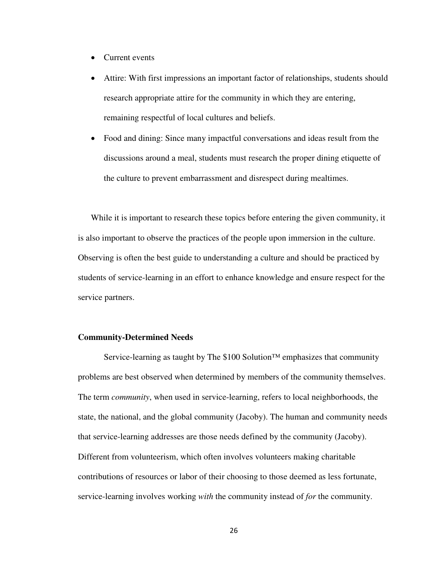- Current events
- Attire: With first impressions an important factor of relationships, students should research appropriate attire for the community in which they are entering, remaining respectful of local cultures and beliefs.
- Food and dining: Since many impactful conversations and ideas result from the discussions around a meal, students must research the proper dining etiquette of the culture to prevent embarrassment and disrespect during mealtimes.

While it is important to research these topics before entering the given community, it is also important to observe the practices of the people upon immersion in the culture. Observing is often the best guide to understanding a culture and should be practiced by students of service-learning in an effort to enhance knowledge and ensure respect for the service partners.

#### **Community-Determined Needs**

Service-learning as taught by The  $$100$  Solution<sup>™</sup> emphasizes that community problems are best observed when determined by members of the community themselves. The term *community*, when used in service-learning, refers to local neighborhoods, the state, the national, and the global community (Jacoby). The human and community needs that service-learning addresses are those needs defined by the community (Jacoby). Different from volunteerism, which often involves volunteers making charitable contributions of resources or labor of their choosing to those deemed as less fortunate, service-learning involves working *with* the community instead of *for* the community.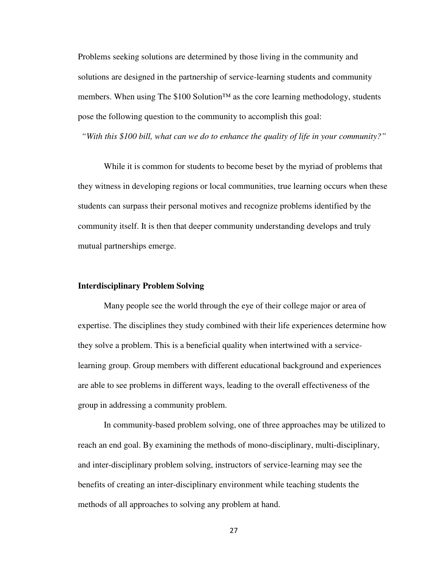Problems seeking solutions are determined by those living in the community and solutions are designed in the partnership of service-learning students and community members. When using The \$100 Solution<sup> $TM$ </sup> as the core learning methodology, students pose the following question to the community to accomplish this goal:

*"With this \$100 bill, what can we do to enhance the quality of life in your community?"* 

While it is common for students to become beset by the myriad of problems that they witness in developing regions or local communities, true learning occurs when these students can surpass their personal motives and recognize problems identified by the community itself. It is then that deeper community understanding develops and truly mutual partnerships emerge.

#### **Interdisciplinary Problem Solving**

Many people see the world through the eye of their college major or area of expertise. The disciplines they study combined with their life experiences determine how they solve a problem. This is a beneficial quality when intertwined with a servicelearning group. Group members with different educational background and experiences are able to see problems in different ways, leading to the overall effectiveness of the group in addressing a community problem.

In community-based problem solving, one of three approaches may be utilized to reach an end goal. By examining the methods of mono-disciplinary, multi-disciplinary, and inter-disciplinary problem solving, instructors of service-learning may see the benefits of creating an inter-disciplinary environment while teaching students the methods of all approaches to solving any problem at hand.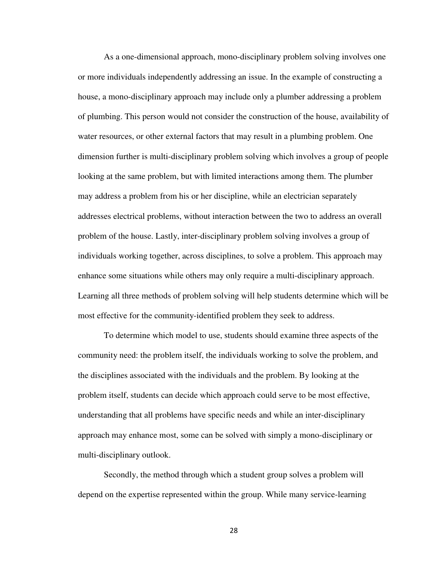As a one-dimensional approach, mono-disciplinary problem solving involves one or more individuals independently addressing an issue. In the example of constructing a house, a mono-disciplinary approach may include only a plumber addressing a problem of plumbing. This person would not consider the construction of the house, availability of water resources, or other external factors that may result in a plumbing problem. One dimension further is multi-disciplinary problem solving which involves a group of people looking at the same problem, but with limited interactions among them. The plumber may address a problem from his or her discipline, while an electrician separately addresses electrical problems, without interaction between the two to address an overall problem of the house. Lastly, inter-disciplinary problem solving involves a group of individuals working together, across disciplines, to solve a problem. This approach may enhance some situations while others may only require a multi-disciplinary approach. Learning all three methods of problem solving will help students determine which will be most effective for the community-identified problem they seek to address.

To determine which model to use, students should examine three aspects of the community need: the problem itself, the individuals working to solve the problem, and the disciplines associated with the individuals and the problem. By looking at the problem itself, students can decide which approach could serve to be most effective, understanding that all problems have specific needs and while an inter-disciplinary approach may enhance most, some can be solved with simply a mono-disciplinary or multi-disciplinary outlook.

Secondly, the method through which a student group solves a problem will depend on the expertise represented within the group. While many service-learning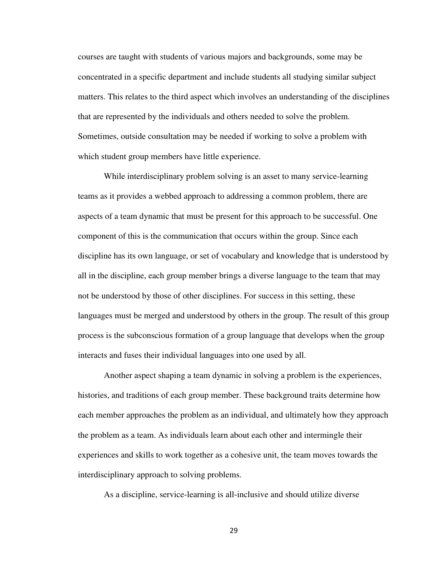courses are taught with students of various majors and backgrounds, some may be concentrated in a specific department and include students all studying similar subject matters. This relates to the third aspect which involves an understanding of the disciplines that are represented by the individuals and others needed to solve the problem. Sometimes, outside consultation may be needed if working to solve a problem with which student group members have little experience.

While interdisciplinary problem solving is an asset to many service-learning teams as it provides a webbed approach to addressing a common problem, there are aspects of a team dynamic that must be present for this approach to be successful. One component of this is the communication that occurs within the group. Since each discipline has its own language, or set of vocabulary and knowledge that is understood by all in the discipline, each group member brings a diverse language to the team that may not be understood by those of other disciplines. For success in this setting, these languages must be merged and understood by others in the group. The result of this group process is the subconscious formation of a group language that develops when the group interacts and fuses their individual languages into one used by all.

Another aspect shaping a team dynamic in solving a problem is the experiences, histories, and traditions of each group member. These background traits determine how each member approaches the problem as an individual, and ultimately how they approach the problem as a team. As individuals learn about each other and intermingle their experiences and skills to work together as a cohesive unit, the team moves towards the interdisciplinary approach to solving problems.

As a discipline, service-learning is all-inclusive and should utilize diverse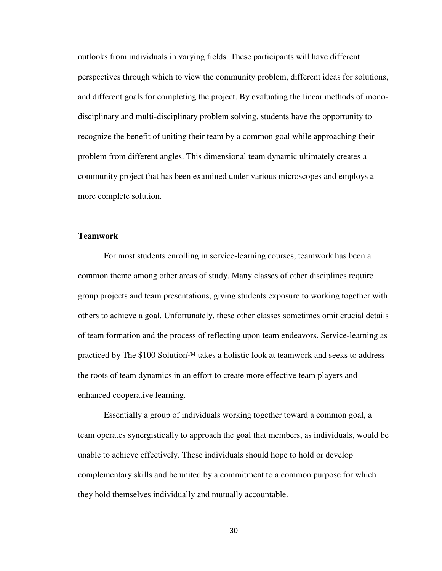outlooks from individuals in varying fields. These participants will have different perspectives through which to view the community problem, different ideas for solutions, and different goals for completing the project. By evaluating the linear methods of monodisciplinary and multi-disciplinary problem solving, students have the opportunity to recognize the benefit of uniting their team by a common goal while approaching their problem from different angles. This dimensional team dynamic ultimately creates a community project that has been examined under various microscopes and employs a more complete solution.

#### **Teamwork**

 For most students enrolling in service-learning courses, teamwork has been a common theme among other areas of study. Many classes of other disciplines require group projects and team presentations, giving students exposure to working together with others to achieve a goal. Unfortunately, these other classes sometimes omit crucial details of team formation and the process of reflecting upon team endeavors. Service-learning as practiced by The \$100 Solution<sup>™</sup> takes a holistic look at teamwork and seeks to address the roots of team dynamics in an effort to create more effective team players and enhanced cooperative learning.

Essentially a group of individuals working together toward a common goal, a team operates synergistically to approach the goal that members, as individuals, would be unable to achieve effectively. These individuals should hope to hold or develop complementary skills and be united by a commitment to a common purpose for which they hold themselves individually and mutually accountable.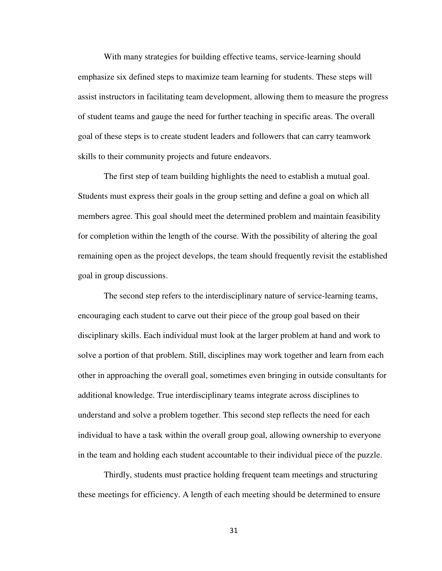With many strategies for building effective teams, service-learning should emphasize six defined steps to maximize team learning for students. These steps will assist instructors in facilitating team development, allowing them to measure the progress of student teams and gauge the need for further teaching in specific areas. The overall goal of these steps is to create student leaders and followers that can carry teamwork skills to their community projects and future endeavors.

 The first step of team building highlights the need to establish a mutual goal. Students must express their goals in the group setting and define a goal on which all members agree. This goal should meet the determined problem and maintain feasibility for completion within the length of the course. With the possibility of altering the goal remaining open as the project develops, the team should frequently revisit the established goal in group discussions.

 The second step refers to the interdisciplinary nature of service-learning teams, encouraging each student to carve out their piece of the group goal based on their disciplinary skills. Each individual must look at the larger problem at hand and work to solve a portion of that problem. Still, disciplines may work together and learn from each other in approaching the overall goal, sometimes even bringing in outside consultants for additional knowledge. True interdisciplinary teams integrate across disciplines to understand and solve a problem together. This second step reflects the need for each individual to have a task within the overall group goal, allowing ownership to everyone in the team and holding each student accountable to their individual piece of the puzzle.

 Thirdly, students must practice holding frequent team meetings and structuring these meetings for efficiency. A length of each meeting should be determined to ensure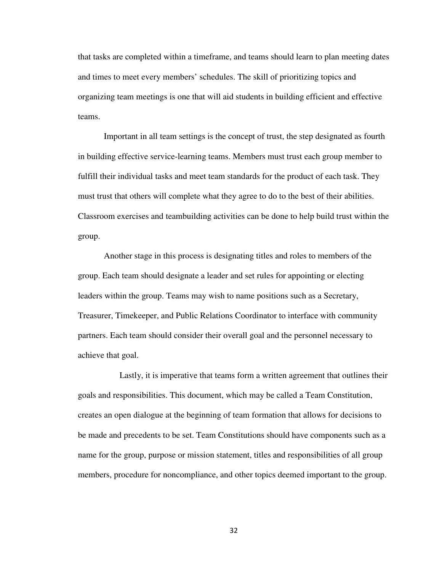that tasks are completed within a timeframe, and teams should learn to plan meeting dates and times to meet every members' schedules. The skill of prioritizing topics and organizing team meetings is one that will aid students in building efficient and effective teams.

 Important in all team settings is the concept of trust, the step designated as fourth in building effective service-learning teams. Members must trust each group member to fulfill their individual tasks and meet team standards for the product of each task. They must trust that others will complete what they agree to do to the best of their abilities. Classroom exercises and teambuilding activities can be done to help build trust within the group.

 Another stage in this process is designating titles and roles to members of the group. Each team should designate a leader and set rules for appointing or electing leaders within the group. Teams may wish to name positions such as a Secretary, Treasurer, Timekeeper, and Public Relations Coordinator to interface with community partners. Each team should consider their overall goal and the personnel necessary to achieve that goal.

 Lastly, it is imperative that teams form a written agreement that outlines their goals and responsibilities. This document, which may be called a Team Constitution, creates an open dialogue at the beginning of team formation that allows for decisions to be made and precedents to be set. Team Constitutions should have components such as a name for the group, purpose or mission statement, titles and responsibilities of all group members, procedure for noncompliance, and other topics deemed important to the group.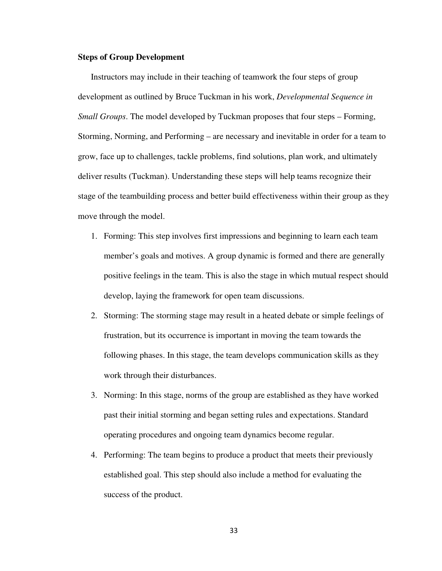#### **Steps of Group Development**

Instructors may include in their teaching of teamwork the four steps of group development as outlined by Bruce Tuckman in his work, *Developmental Sequence in Small Groups*. The model developed by Tuckman proposes that four steps – Forming, Storming, Norming, and Performing – are necessary and inevitable in order for a team to grow, face up to challenges, tackle problems, find solutions, plan work, and ultimately deliver results (Tuckman). Understanding these steps will help teams recognize their stage of the teambuilding process and better build effectiveness within their group as they move through the model.

- 1. Forming: This step involves first impressions and beginning to learn each team member's goals and motives. A group dynamic is formed and there are generally positive feelings in the team. This is also the stage in which mutual respect should develop, laying the framework for open team discussions.
- 2. Storming: The storming stage may result in a heated debate or simple feelings of frustration, but its occurrence is important in moving the team towards the following phases. In this stage, the team develops communication skills as they work through their disturbances.
- 3. Norming: In this stage, norms of the group are established as they have worked past their initial storming and began setting rules and expectations. Standard operating procedures and ongoing team dynamics become regular.
- 4. Performing: The team begins to produce a product that meets their previously established goal. This step should also include a method for evaluating the success of the product.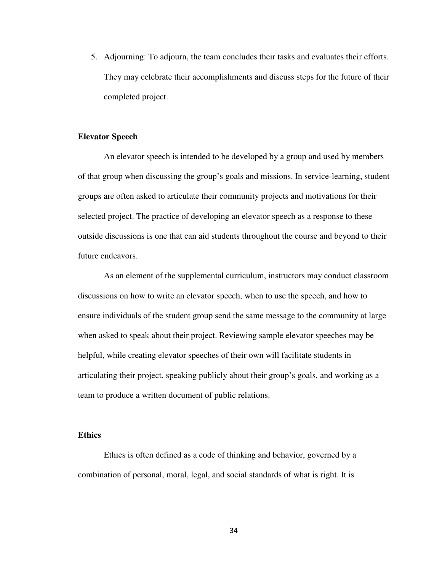5. Adjourning: To adjourn, the team concludes their tasks and evaluates their efforts. They may celebrate their accomplishments and discuss steps for the future of their completed project.

#### **Elevator Speech**

An elevator speech is intended to be developed by a group and used by members of that group when discussing the group's goals and missions. In service-learning, student groups are often asked to articulate their community projects and motivations for their selected project. The practice of developing an elevator speech as a response to these outside discussions is one that can aid students throughout the course and beyond to their future endeavors.

As an element of the supplemental curriculum, instructors may conduct classroom discussions on how to write an elevator speech, when to use the speech, and how to ensure individuals of the student group send the same message to the community at large when asked to speak about their project. Reviewing sample elevator speeches may be helpful, while creating elevator speeches of their own will facilitate students in articulating their project, speaking publicly about their group's goals, and working as a team to produce a written document of public relations.

#### **Ethics**

Ethics is often defined as a code of thinking and behavior, governed by a combination of personal, moral, legal, and social standards of what is right. It is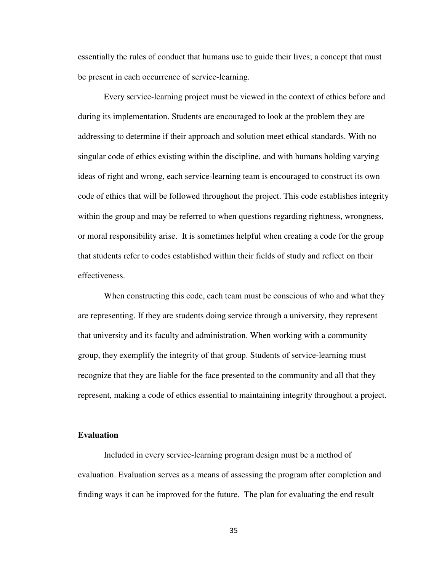essentially the rules of conduct that humans use to guide their lives; a concept that must be present in each occurrence of service-learning.

Every service-learning project must be viewed in the context of ethics before and during its implementation. Students are encouraged to look at the problem they are addressing to determine if their approach and solution meet ethical standards. With no singular code of ethics existing within the discipline, and with humans holding varying ideas of right and wrong, each service-learning team is encouraged to construct its own code of ethics that will be followed throughout the project. This code establishes integrity within the group and may be referred to when questions regarding rightness, wrongness, or moral responsibility arise. It is sometimes helpful when creating a code for the group that students refer to codes established within their fields of study and reflect on their effectiveness.

When constructing this code, each team must be conscious of who and what they are representing. If they are students doing service through a university, they represent that university and its faculty and administration. When working with a community group, they exemplify the integrity of that group. Students of service-learning must recognize that they are liable for the face presented to the community and all that they represent, making a code of ethics essential to maintaining integrity throughout a project.

#### **Evaluation**

Included in every service-learning program design must be a method of evaluation. Evaluation serves as a means of assessing the program after completion and finding ways it can be improved for the future. The plan for evaluating the end result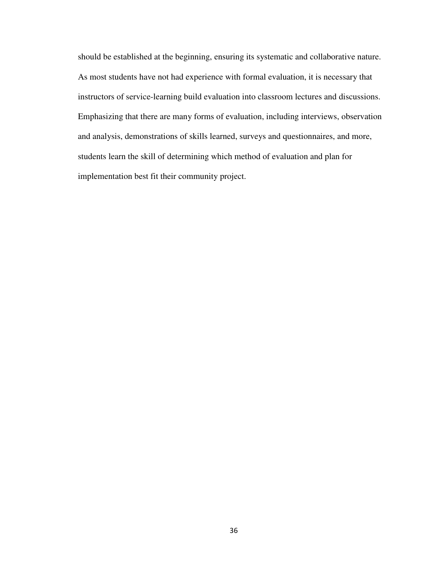should be established at the beginning, ensuring its systematic and collaborative nature. As most students have not had experience with formal evaluation, it is necessary that instructors of service-learning build evaluation into classroom lectures and discussions. Emphasizing that there are many forms of evaluation, including interviews, observation and analysis, demonstrations of skills learned, surveys and questionnaires, and more, students learn the skill of determining which method of evaluation and plan for implementation best fit their community project.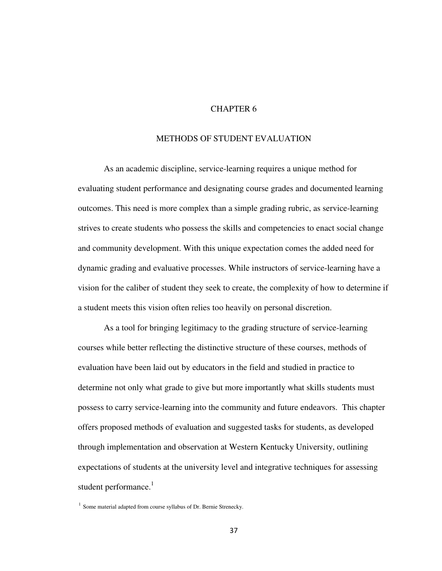# CHAPTER 6

#### METHODS OF STUDENT EVALUATION

As an academic discipline, service-learning requires a unique method for evaluating student performance and designating course grades and documented learning outcomes. This need is more complex than a simple grading rubric, as service-learning strives to create students who possess the skills and competencies to enact social change and community development. With this unique expectation comes the added need for dynamic grading and evaluative processes. While instructors of service-learning have a vision for the caliber of student they seek to create, the complexity of how to determine if a student meets this vision often relies too heavily on personal discretion.

As a tool for bringing legitimacy to the grading structure of service-learning courses while better reflecting the distinctive structure of these courses, methods of evaluation have been laid out by educators in the field and studied in practice to determine not only what grade to give but more importantly what skills students must possess to carry service-learning into the community and future endeavors. This chapter offers proposed methods of evaluation and suggested tasks for students, as developed through implementation and observation at Western Kentucky University, outlining expectations of students at the university level and integrative techniques for assessing student performance.<sup>1</sup>

<sup>&</sup>lt;sup>1</sup> Some material adapted from course syllabus of Dr. Bernie Strenecky.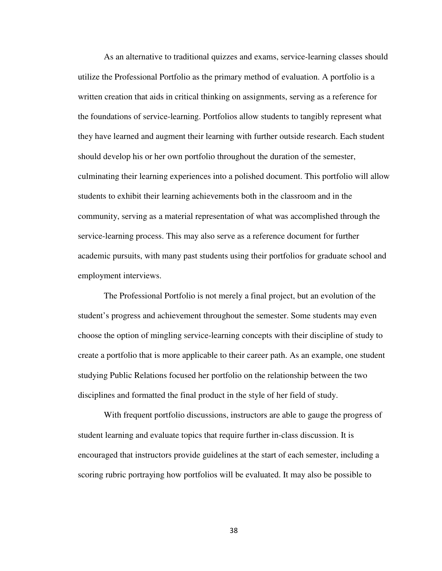As an alternative to traditional quizzes and exams, service-learning classes should utilize the Professional Portfolio as the primary method of evaluation. A portfolio is a written creation that aids in critical thinking on assignments, serving as a reference for the foundations of service-learning. Portfolios allow students to tangibly represent what they have learned and augment their learning with further outside research. Each student should develop his or her own portfolio throughout the duration of the semester, culminating their learning experiences into a polished document. This portfolio will allow students to exhibit their learning achievements both in the classroom and in the community, serving as a material representation of what was accomplished through the service-learning process. This may also serve as a reference document for further academic pursuits, with many past students using their portfolios for graduate school and employment interviews.

The Professional Portfolio is not merely a final project, but an evolution of the student's progress and achievement throughout the semester. Some students may even choose the option of mingling service-learning concepts with their discipline of study to create a portfolio that is more applicable to their career path. As an example, one student studying Public Relations focused her portfolio on the relationship between the two disciplines and formatted the final product in the style of her field of study.

With frequent portfolio discussions, instructors are able to gauge the progress of student learning and evaluate topics that require further in-class discussion. It is encouraged that instructors provide guidelines at the start of each semester, including a scoring rubric portraying how portfolios will be evaluated. It may also be possible to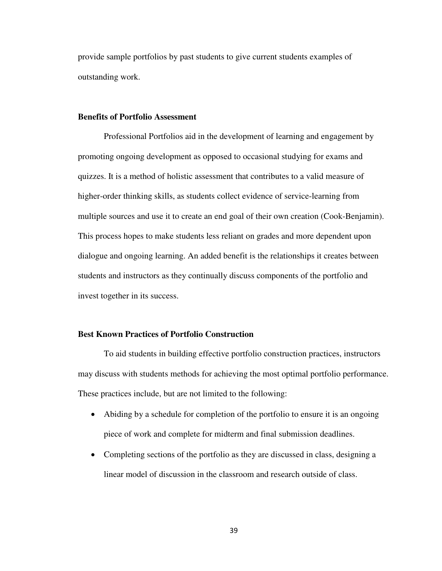provide sample portfolios by past students to give current students examples of outstanding work.

#### **Benefits of Portfolio Assessment**

 Professional Portfolios aid in the development of learning and engagement by promoting ongoing development as opposed to occasional studying for exams and quizzes. It is a method of holistic assessment that contributes to a valid measure of higher-order thinking skills, as students collect evidence of service-learning from multiple sources and use it to create an end goal of their own creation (Cook-Benjamin). This process hopes to make students less reliant on grades and more dependent upon dialogue and ongoing learning. An added benefit is the relationships it creates between students and instructors as they continually discuss components of the portfolio and invest together in its success.

## **Best Known Practices of Portfolio Construction**

To aid students in building effective portfolio construction practices, instructors may discuss with students methods for achieving the most optimal portfolio performance. These practices include, but are not limited to the following:

- Abiding by a schedule for completion of the portfolio to ensure it is an ongoing piece of work and complete for midterm and final submission deadlines.
- Completing sections of the portfolio as they are discussed in class, designing a linear model of discussion in the classroom and research outside of class.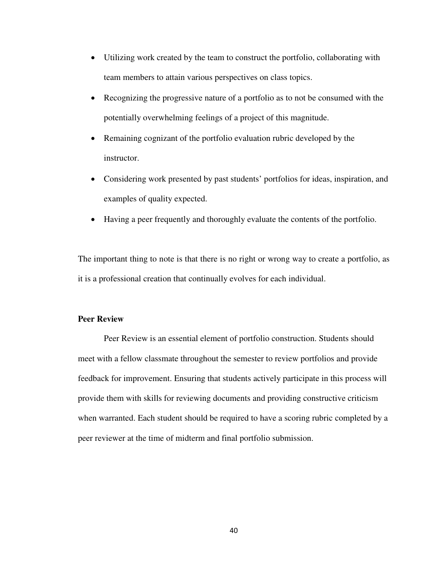- Utilizing work created by the team to construct the portfolio, collaborating with team members to attain various perspectives on class topics.
- Recognizing the progressive nature of a portfolio as to not be consumed with the potentially overwhelming feelings of a project of this magnitude.
- Remaining cognizant of the portfolio evaluation rubric developed by the instructor.
- Considering work presented by past students' portfolios for ideas, inspiration, and examples of quality expected.
- Having a peer frequently and thoroughly evaluate the contents of the portfolio.

The important thing to note is that there is no right or wrong way to create a portfolio, as it is a professional creation that continually evolves for each individual.

## **Peer Review**

Peer Review is an essential element of portfolio construction. Students should meet with a fellow classmate throughout the semester to review portfolios and provide feedback for improvement. Ensuring that students actively participate in this process will provide them with skills for reviewing documents and providing constructive criticism when warranted. Each student should be required to have a scoring rubric completed by a peer reviewer at the time of midterm and final portfolio submission.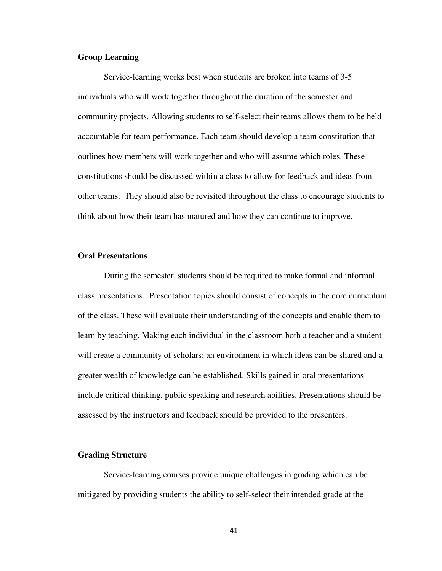#### **Group Learning**

Service-learning works best when students are broken into teams of 3-5 individuals who will work together throughout the duration of the semester and community projects. Allowing students to self-select their teams allows them to be held accountable for team performance. Each team should develop a team constitution that outlines how members will work together and who will assume which roles. These constitutions should be discussed within a class to allow for feedback and ideas from other teams. They should also be revisited throughout the class to encourage students to think about how their team has matured and how they can continue to improve.

#### **Oral Presentations**

During the semester, students should be required to make formal and informal class presentations. Presentation topics should consist of concepts in the core curriculum of the class. These will evaluate their understanding of the concepts and enable them to learn by teaching. Making each individual in the classroom both a teacher and a student will create a community of scholars; an environment in which ideas can be shared and a greater wealth of knowledge can be established. Skills gained in oral presentations include critical thinking, public speaking and research abilities. Presentations should be assessed by the instructors and feedback should be provided to the presenters.

#### **Grading Structure**

 Service-learning courses provide unique challenges in grading which can be mitigated by providing students the ability to self-select their intended grade at the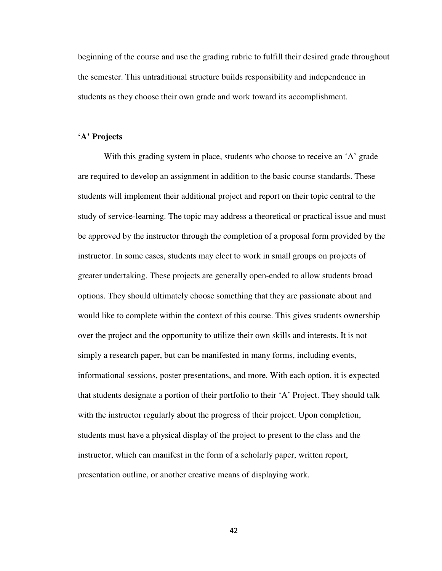beginning of the course and use the grading rubric to fulfill their desired grade throughout the semester. This untraditional structure builds responsibility and independence in students as they choose their own grade and work toward its accomplishment.

#### **'A' Projects**

With this grading system in place, students who choose to receive an 'A' grade are required to develop an assignment in addition to the basic course standards. These students will implement their additional project and report on their topic central to the study of service-learning. The topic may address a theoretical or practical issue and must be approved by the instructor through the completion of a proposal form provided by the instructor. In some cases, students may elect to work in small groups on projects of greater undertaking. These projects are generally open-ended to allow students broad options. They should ultimately choose something that they are passionate about and would like to complete within the context of this course. This gives students ownership over the project and the opportunity to utilize their own skills and interests. It is not simply a research paper, but can be manifested in many forms, including events, informational sessions, poster presentations, and more. With each option, it is expected that students designate a portion of their portfolio to their 'A' Project. They should talk with the instructor regularly about the progress of their project. Upon completion, students must have a physical display of the project to present to the class and the instructor, which can manifest in the form of a scholarly paper, written report, presentation outline, or another creative means of displaying work.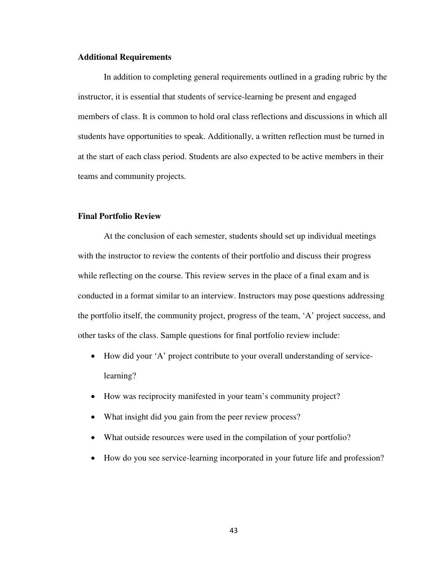#### **Additional Requirements**

In addition to completing general requirements outlined in a grading rubric by the instructor, it is essential that students of service-learning be present and engaged members of class. It is common to hold oral class reflections and discussions in which all students have opportunities to speak. Additionally, a written reflection must be turned in at the start of each class period. Students are also expected to be active members in their teams and community projects.

## **Final Portfolio Review**

At the conclusion of each semester, students should set up individual meetings with the instructor to review the contents of their portfolio and discuss their progress while reflecting on the course. This review serves in the place of a final exam and is conducted in a format similar to an interview. Instructors may pose questions addressing the portfolio itself, the community project, progress of the team, 'A' project success, and other tasks of the class. Sample questions for final portfolio review include:

- How did your 'A' project contribute to your overall understanding of servicelearning?
- How was reciprocity manifested in your team's community project?
- What insight did you gain from the peer review process?
- What outside resources were used in the compilation of your portfolio?
- How do you see service-learning incorporated in your future life and profession?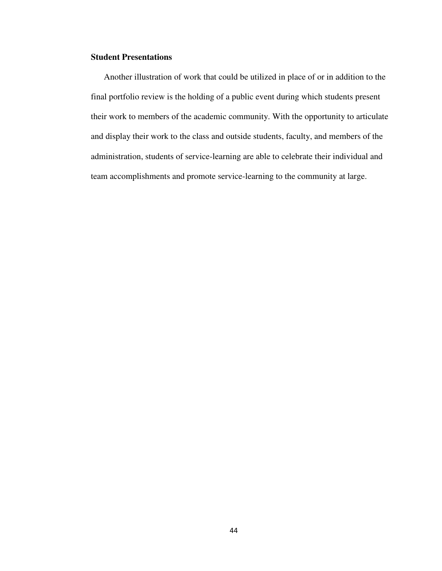# **Student Presentations**

Another illustration of work that could be utilized in place of or in addition to the final portfolio review is the holding of a public event during which students present their work to members of the academic community. With the opportunity to articulate and display their work to the class and outside students, faculty, and members of the administration, students of service-learning are able to celebrate their individual and team accomplishments and promote service-learning to the community at large.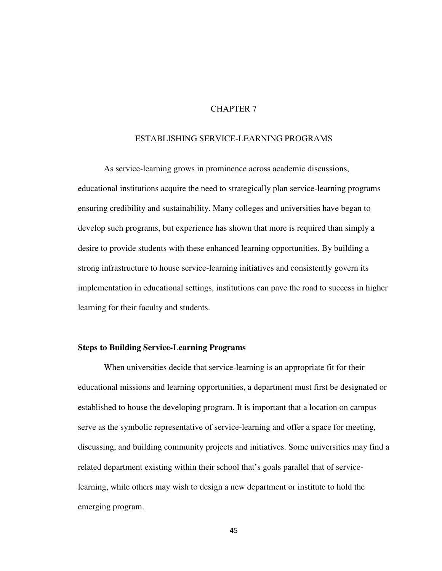# CHAPTER 7

#### ESTABLISHING SERVICE-LEARNING PROGRAMS

 As service-learning grows in prominence across academic discussions, educational institutions acquire the need to strategically plan service-learning programs ensuring credibility and sustainability. Many colleges and universities have began to develop such programs, but experience has shown that more is required than simply a desire to provide students with these enhanced learning opportunities. By building a strong infrastructure to house service-learning initiatives and consistently govern its implementation in educational settings, institutions can pave the road to success in higher learning for their faculty and students.

#### **Steps to Building Service-Learning Programs**

When universities decide that service-learning is an appropriate fit for their educational missions and learning opportunities, a department must first be designated or established to house the developing program. It is important that a location on campus serve as the symbolic representative of service-learning and offer a space for meeting, discussing, and building community projects and initiatives. Some universities may find a related department existing within their school that's goals parallel that of servicelearning, while others may wish to design a new department or institute to hold the emerging program.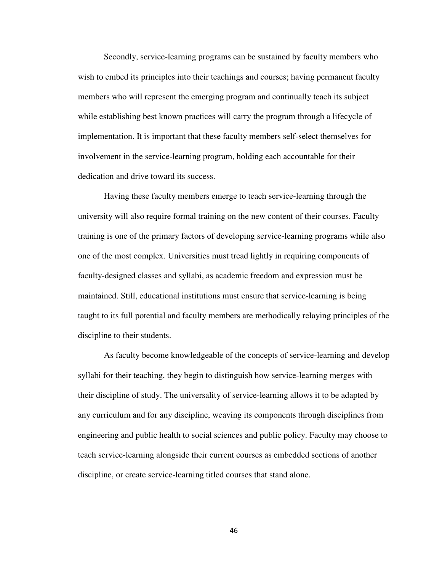Secondly, service-learning programs can be sustained by faculty members who wish to embed its principles into their teachings and courses; having permanent faculty members who will represent the emerging program and continually teach its subject while establishing best known practices will carry the program through a lifecycle of implementation. It is important that these faculty members self-select themselves for involvement in the service-learning program, holding each accountable for their dedication and drive toward its success.

Having these faculty members emerge to teach service-learning through the university will also require formal training on the new content of their courses. Faculty training is one of the primary factors of developing service-learning programs while also one of the most complex. Universities must tread lightly in requiring components of faculty-designed classes and syllabi, as academic freedom and expression must be maintained. Still, educational institutions must ensure that service-learning is being taught to its full potential and faculty members are methodically relaying principles of the discipline to their students.

As faculty become knowledgeable of the concepts of service-learning and develop syllabi for their teaching, they begin to distinguish how service-learning merges with their discipline of study. The universality of service-learning allows it to be adapted by any curriculum and for any discipline, weaving its components through disciplines from engineering and public health to social sciences and public policy. Faculty may choose to teach service-learning alongside their current courses as embedded sections of another discipline, or create service-learning titled courses that stand alone.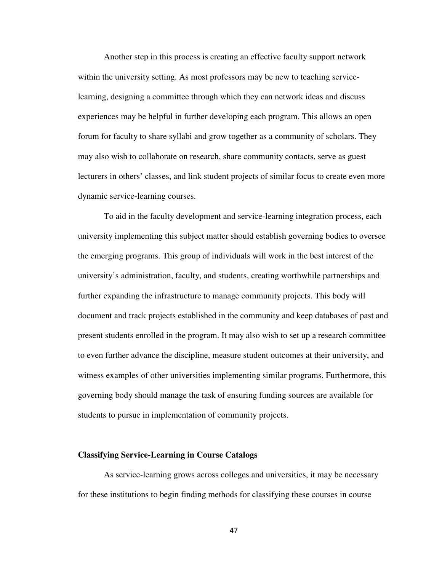Another step in this process is creating an effective faculty support network within the university setting. As most professors may be new to teaching servicelearning, designing a committee through which they can network ideas and discuss experiences may be helpful in further developing each program. This allows an open forum for faculty to share syllabi and grow together as a community of scholars. They may also wish to collaborate on research, share community contacts, serve as guest lecturers in others' classes, and link student projects of similar focus to create even more dynamic service-learning courses.

To aid in the faculty development and service-learning integration process, each university implementing this subject matter should establish governing bodies to oversee the emerging programs. This group of individuals will work in the best interest of the university's administration, faculty, and students, creating worthwhile partnerships and further expanding the infrastructure to manage community projects. This body will document and track projects established in the community and keep databases of past and present students enrolled in the program. It may also wish to set up a research committee to even further advance the discipline, measure student outcomes at their university, and witness examples of other universities implementing similar programs. Furthermore, this governing body should manage the task of ensuring funding sources are available for students to pursue in implementation of community projects.

#### **Classifying Service-Learning in Course Catalogs**

 As service-learning grows across colleges and universities, it may be necessary for these institutions to begin finding methods for classifying these courses in course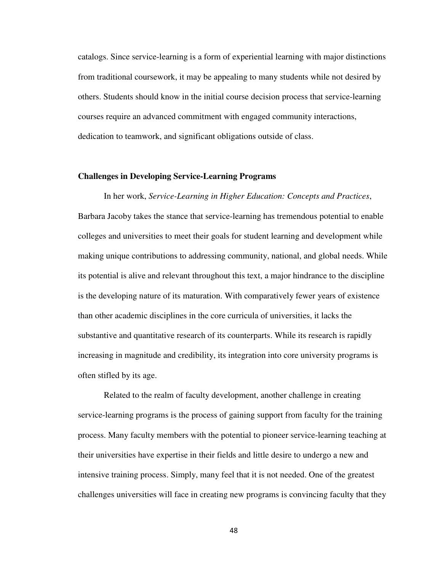catalogs. Since service-learning is a form of experiential learning with major distinctions from traditional coursework, it may be appealing to many students while not desired by others. Students should know in the initial course decision process that service-learning courses require an advanced commitment with engaged community interactions, dedication to teamwork, and significant obligations outside of class.

#### **Challenges in Developing Service-Learning Programs**

 In her work, *Service-Learning in Higher Education: Concepts and Practices*, Barbara Jacoby takes the stance that service-learning has tremendous potential to enable colleges and universities to meet their goals for student learning and development while making unique contributions to addressing community, national, and global needs. While its potential is alive and relevant throughout this text, a major hindrance to the discipline is the developing nature of its maturation. With comparatively fewer years of existence than other academic disciplines in the core curricula of universities, it lacks the substantive and quantitative research of its counterparts. While its research is rapidly increasing in magnitude and credibility, its integration into core university programs is often stifled by its age.

 Related to the realm of faculty development, another challenge in creating service-learning programs is the process of gaining support from faculty for the training process. Many faculty members with the potential to pioneer service-learning teaching at their universities have expertise in their fields and little desire to undergo a new and intensive training process. Simply, many feel that it is not needed. One of the greatest challenges universities will face in creating new programs is convincing faculty that they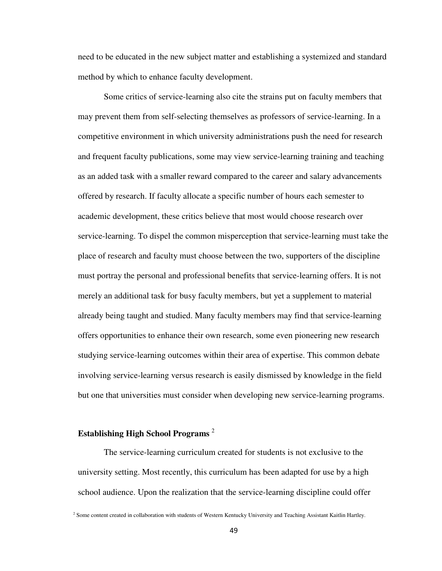need to be educated in the new subject matter and establishing a systemized and standard method by which to enhance faculty development.

Some critics of service-learning also cite the strains put on faculty members that may prevent them from self-selecting themselves as professors of service-learning. In a competitive environment in which university administrations push the need for research and frequent faculty publications, some may view service-learning training and teaching as an added task with a smaller reward compared to the career and salary advancements offered by research. If faculty allocate a specific number of hours each semester to academic development, these critics believe that most would choose research over service-learning. To dispel the common misperception that service-learning must take the place of research and faculty must choose between the two, supporters of the discipline must portray the personal and professional benefits that service-learning offers. It is not merely an additional task for busy faculty members, but yet a supplement to material already being taught and studied. Many faculty members may find that service-learning offers opportunities to enhance their own research, some even pioneering new research studying service-learning outcomes within their area of expertise. This common debate involving service-learning versus research is easily dismissed by knowledge in the field but one that universities must consider when developing new service-learning programs.

# **Establishing High School Programs** <sup>2</sup>

The service-learning curriculum created for students is not exclusive to the university setting. Most recently, this curriculum has been adapted for use by a high school audience. Upon the realization that the service-learning discipline could offer

 $2$  Some content created in collaboration with students of Western Kentucky University and Teaching Assistant Kaitlin Hartley.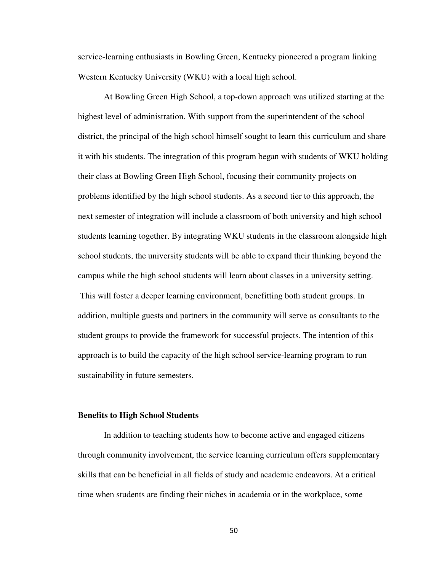service-learning enthusiasts in Bowling Green, Kentucky pioneered a program linking Western Kentucky University (WKU) with a local high school.

At Bowling Green High School, a top-down approach was utilized starting at the highest level of administration. With support from the superintendent of the school district, the principal of the high school himself sought to learn this curriculum and share it with his students. The integration of this program began with students of WKU holding their class at Bowling Green High School, focusing their community projects on problems identified by the high school students. As a second tier to this approach, the next semester of integration will include a classroom of both university and high school students learning together. By integrating WKU students in the classroom alongside high school students, the university students will be able to expand their thinking beyond the campus while the high school students will learn about classes in a university setting. This will foster a deeper learning environment, benefitting both student groups. In addition, multiple guests and partners in the community will serve as consultants to the student groups to provide the framework for successful projects. The intention of this approach is to build the capacity of the high school service-learning program to run sustainability in future semesters.

#### **Benefits to High School Students**

In addition to teaching students how to become active and engaged citizens through community involvement, the service learning curriculum offers supplementary skills that can be beneficial in all fields of study and academic endeavors. At a critical time when students are finding their niches in academia or in the workplace, some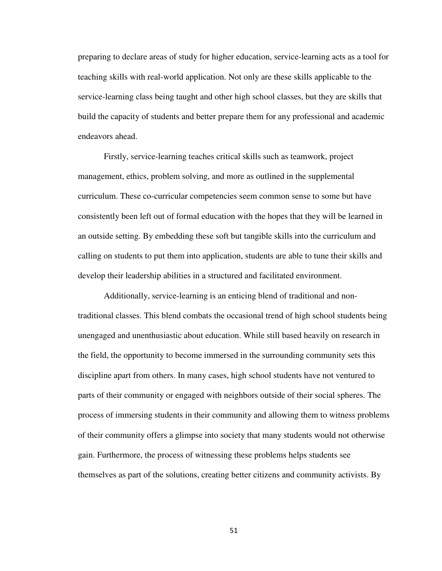preparing to declare areas of study for higher education, service-learning acts as a tool for teaching skills with real-world application. Not only are these skills applicable to the service-learning class being taught and other high school classes, but they are skills that build the capacity of students and better prepare them for any professional and academic endeavors ahead.

Firstly, service-learning teaches critical skills such as teamwork, project management, ethics, problem solving, and more as outlined in the supplemental curriculum. These co-curricular competencies seem common sense to some but have consistently been left out of formal education with the hopes that they will be learned in an outside setting. By embedding these soft but tangible skills into the curriculum and calling on students to put them into application, students are able to tune their skills and develop their leadership abilities in a structured and facilitated environment.

Additionally, service-learning is an enticing blend of traditional and nontraditional classes. This blend combats the occasional trend of high school students being unengaged and unenthusiastic about education. While still based heavily on research in the field, the opportunity to become immersed in the surrounding community sets this discipline apart from others. In many cases, high school students have not ventured to parts of their community or engaged with neighbors outside of their social spheres. The process of immersing students in their community and allowing them to witness problems of their community offers a glimpse into society that many students would not otherwise gain. Furthermore, the process of witnessing these problems helps students see themselves as part of the solutions, creating better citizens and community activists. By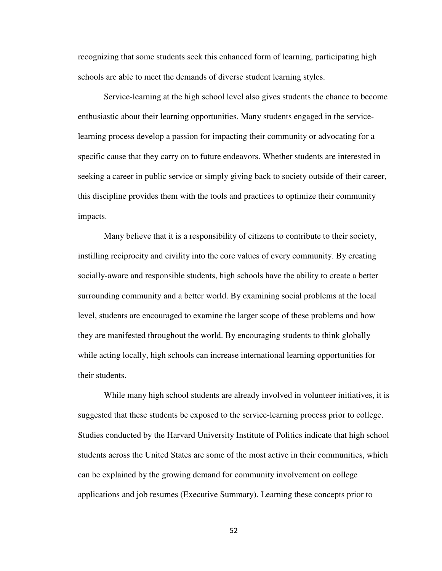recognizing that some students seek this enhanced form of learning, participating high schools are able to meet the demands of diverse student learning styles.

Service-learning at the high school level also gives students the chance to become enthusiastic about their learning opportunities. Many students engaged in the servicelearning process develop a passion for impacting their community or advocating for a specific cause that they carry on to future endeavors. Whether students are interested in seeking a career in public service or simply giving back to society outside of their career, this discipline provides them with the tools and practices to optimize their community impacts.

Many believe that it is a responsibility of citizens to contribute to their society, instilling reciprocity and civility into the core values of every community. By creating socially-aware and responsible students, high schools have the ability to create a better surrounding community and a better world. By examining social problems at the local level, students are encouraged to examine the larger scope of these problems and how they are manifested throughout the world. By encouraging students to think globally while acting locally, high schools can increase international learning opportunities for their students.

While many high school students are already involved in volunteer initiatives, it is suggested that these students be exposed to the service-learning process prior to college. Studies conducted by the Harvard University Institute of Politics indicate that high school students across the United States are some of the most active in their communities, which can be explained by the growing demand for community involvement on college applications and job resumes (Executive Summary). Learning these concepts prior to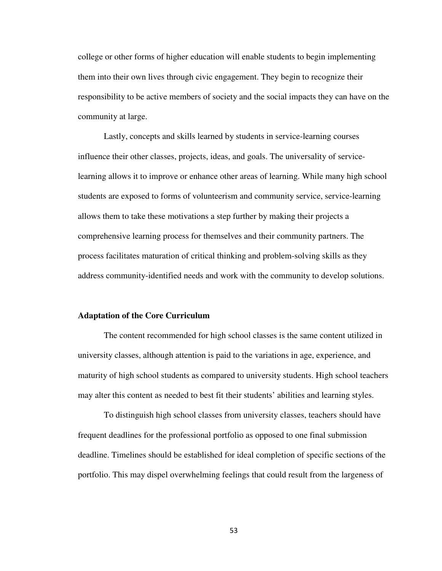college or other forms of higher education will enable students to begin implementing them into their own lives through civic engagement. They begin to recognize their responsibility to be active members of society and the social impacts they can have on the community at large.

Lastly, concepts and skills learned by students in service-learning courses influence their other classes, projects, ideas, and goals. The universality of servicelearning allows it to improve or enhance other areas of learning. While many high school students are exposed to forms of volunteerism and community service, service-learning allows them to take these motivations a step further by making their projects a comprehensive learning process for themselves and their community partners. The process facilitates maturation of critical thinking and problem-solving skills as they address community-identified needs and work with the community to develop solutions.

#### **Adaptation of the Core Curriculum**

The content recommended for high school classes is the same content utilized in university classes, although attention is paid to the variations in age, experience, and maturity of high school students as compared to university students. High school teachers may alter this content as needed to best fit their students' abilities and learning styles.

To distinguish high school classes from university classes, teachers should have frequent deadlines for the professional portfolio as opposed to one final submission deadline. Timelines should be established for ideal completion of specific sections of the portfolio. This may dispel overwhelming feelings that could result from the largeness of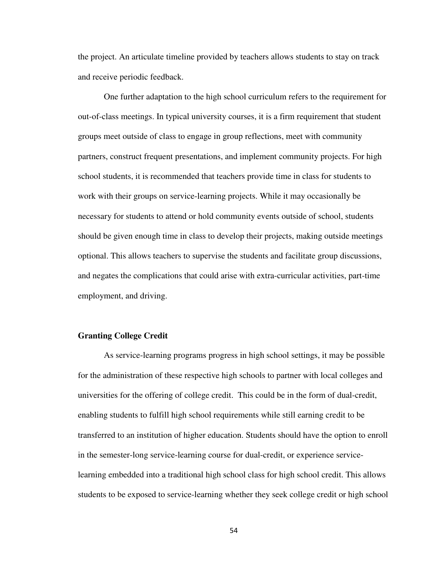the project. An articulate timeline provided by teachers allows students to stay on track and receive periodic feedback.

One further adaptation to the high school curriculum refers to the requirement for out-of-class meetings. In typical university courses, it is a firm requirement that student groups meet outside of class to engage in group reflections, meet with community partners, construct frequent presentations, and implement community projects. For high school students, it is recommended that teachers provide time in class for students to work with their groups on service-learning projects. While it may occasionally be necessary for students to attend or hold community events outside of school, students should be given enough time in class to develop their projects, making outside meetings optional. This allows teachers to supervise the students and facilitate group discussions, and negates the complications that could arise with extra-curricular activities, part-time employment, and driving.

#### **Granting College Credit**

As service-learning programs progress in high school settings, it may be possible for the administration of these respective high schools to partner with local colleges and universities for the offering of college credit. This could be in the form of dual-credit, enabling students to fulfill high school requirements while still earning credit to be transferred to an institution of higher education. Students should have the option to enroll in the semester-long service-learning course for dual-credit, or experience servicelearning embedded into a traditional high school class for high school credit. This allows students to be exposed to service-learning whether they seek college credit or high school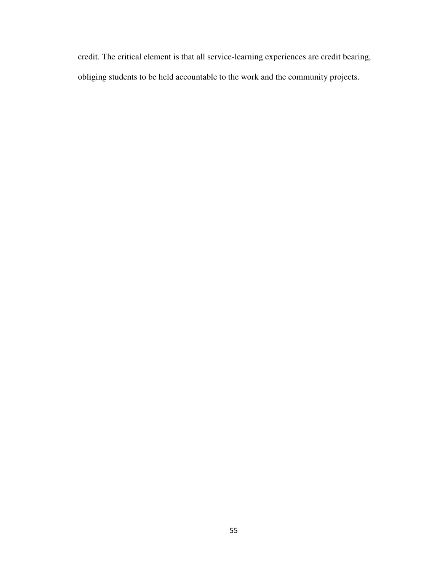credit. The critical element is that all service-learning experiences are credit bearing, obliging students to be held accountable to the work and the community projects.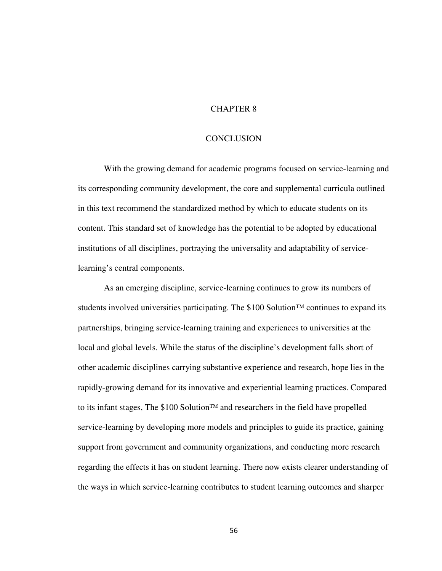### CHAPTER 8

#### **CONCLUSION**

With the growing demand for academic programs focused on service-learning and its corresponding community development, the core and supplemental curricula outlined in this text recommend the standardized method by which to educate students on its content. This standard set of knowledge has the potential to be adopted by educational institutions of all disciplines, portraying the universality and adaptability of servicelearning's central components.

 As an emerging discipline, service-learning continues to grow its numbers of students involved universities participating. The \$100 Solution™ continues to expand its partnerships, bringing service-learning training and experiences to universities at the local and global levels. While the status of the discipline's development falls short of other academic disciplines carrying substantive experience and research, hope lies in the rapidly-growing demand for its innovative and experiential learning practices. Compared to its infant stages, The \$100 Solution™ and researchers in the field have propelled service-learning by developing more models and principles to guide its practice, gaining support from government and community organizations, and conducting more research regarding the effects it has on student learning. There now exists clearer understanding of the ways in which service-learning contributes to student learning outcomes and sharper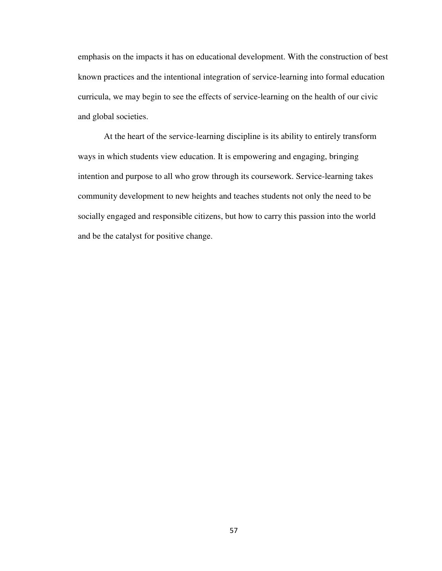emphasis on the impacts it has on educational development. With the construction of best known practices and the intentional integration of service-learning into formal education curricula, we may begin to see the effects of service-learning on the health of our civic and global societies.

At the heart of the service-learning discipline is its ability to entirely transform ways in which students view education. It is empowering and engaging, bringing intention and purpose to all who grow through its coursework. Service-learning takes community development to new heights and teaches students not only the need to be socially engaged and responsible citizens, but how to carry this passion into the world and be the catalyst for positive change.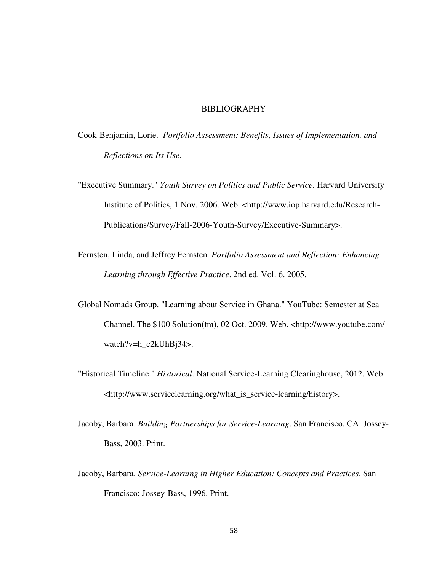#### BIBLIOGRAPHY

- Cook-Benjamin, Lorie. *Portfolio Assessment: Benefits, Issues of Implementation, and Reflections on Its Use*.
- "Executive Summary." *Youth Survey on Politics and Public Service*. Harvard University Institute of Politics, 1 Nov. 2006. Web. <http://www.iop.harvard.edu/Research-Publications/Survey/Fall-2006-Youth-Survey/Executive-Summary>.
- Fernsten, Linda, and Jeffrey Fernsten. *Portfolio Assessment and Reflection: Enhancing Learning through Effective Practice*. 2nd ed. Vol. 6. 2005.
- Global Nomads Group. "Learning about Service in Ghana." YouTube: Semester at Sea Channel. The \$100 Solution(tm), 02 Oct. 2009. Web. <http://www.youtube.com/ watch?v=h\_c2kUhBj34>.
- "Historical Timeline." *Historical*. National Service-Learning Clearinghouse, 2012. Web. <http://www.servicelearning.org/what\_is\_service-learning/history>.
- Jacoby, Barbara. *Building Partnerships for Service-Learning*. San Francisco, CA: Jossey-Bass, 2003. Print.
- Jacoby, Barbara. *Service-Learning in Higher Education: Concepts and Practices*. San Francisco: Jossey-Bass, 1996. Print.